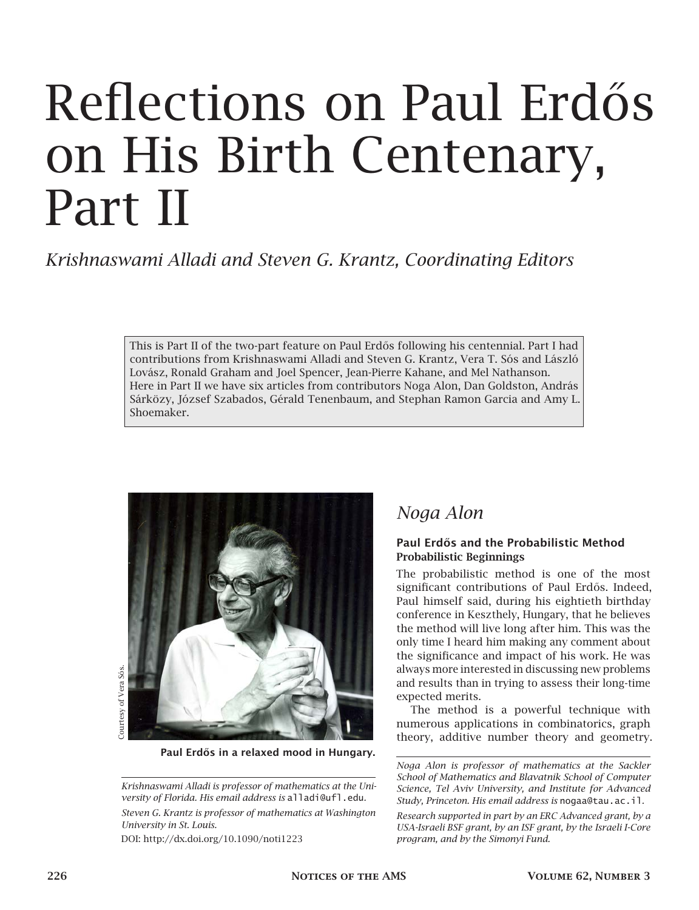# Reflections on Paul Erdős on His Birth Centenary, Part II

*Krishnaswami Alladi and Steven G. Krantz, Coordinating Editors*

This is Part II of the two-part feature on Paul Erdős following his centennial. Part I had contributions from Krishnaswami Alladi and Steven G. Krantz, Vera T. Sós and László Lovász, Ronald Graham and Joel Spencer, Jean-Pierre Kahane, and Mel Nathanson. Here in Part II we have six articles from contributors Noga Alon, Dan Goldston, András Sárközy, József Szabados, Gérald Tenenbaum, and Stephan Ramon Garcia and Amy L. Shoemaker.



Paul Erdős in a relaxed mood in Hungary.

*Krishnaswami Alladi is professor of mathematics at the University of Florida. His email address is* alladi@ufl.edu*.*

*Steven G. Krantz is professor of mathematics at Washington University in St. Louis.*

DOI: http://dx.doi.org/10.1090/noti1223

# *Noga Alon*

#### Paul Erdős and the Probabilistic Method Probabilistic Beginnings

The probabilistic method is one of the most significant contributions of Paul Erdős. Indeed, Paul himself said, during his eightieth birthday conference in Keszthely, Hungary, that he believes the method will live long after him. This was the only time I heard him making any comment about the significance and impact of his work. He was always more interested in discussing new problems and results than in trying to assess their long-time expected merits.

The method is a powerful technique with numerous applications in combinatorics, graph theory, additive number theory and geometry.

*Noga Alon is professor of mathematics at the Sackler School of Mathematics and Blavatnik School of Computer Science, Tel Aviv University, and Institute for Advanced Study, Princeton. His email address is* nogaa@tau.ac.il*.*

*Research supported in part by an ERC Advanced grant, by a USA-Israeli BSF grant, by an ISF grant, by the Israeli I-Core program, and by the Simonyi Fund.*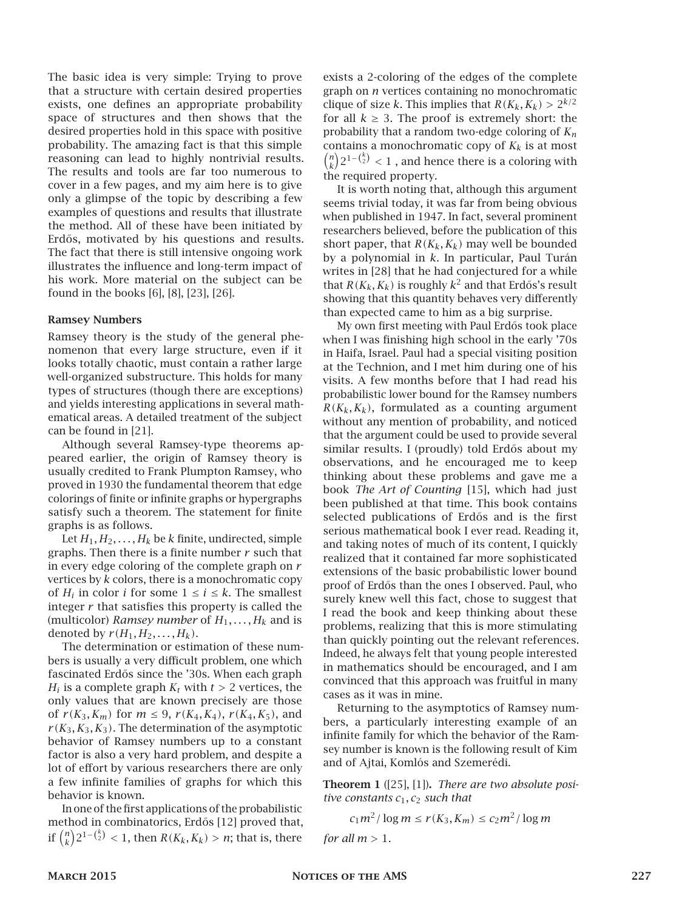The basic idea is very simple: Trying to prove that a structure with certain desired properties exists, one defines an appropriate probability space of structures and then shows that the desired properties hold in this space with positive probability. The amazing fact is that this simple reasoning can lead to highly nontrivial results. The results and tools are far too numerous to cover in a few pages, and my aim here is to give only a glimpse of the topic by describing a few examples of questions and results that illustrate the method. All of these have been initiated by Erdős, motivated by his questions and results. The fact that there is still intensive ongoing work illustrates the influence and long-term impact of his work. More material on the subject can be found in the books [6], [8], [23], [26].

#### Ramsey Numbers

Ramsey theory is the study of the general phenomenon that every large structure, even if it looks totally chaotic, must contain a rather large well-organized substructure. This holds for many types of structures (though there are exceptions) and yields interesting applications in several mathematical areas. A detailed treatment of the subject can be found in [21].

Although several Ramsey-type theorems appeared earlier, the origin of Ramsey theory is usually credited to Frank Plumpton Ramsey, who proved in 1930 the fundamental theorem that edge colorings of finite or infinite graphs or hypergraphs satisfy such a theorem. The statement for finite graphs is as follows.

Let  $H_1, H_2, \ldots, H_k$  be *k* finite, undirected, simple graphs. Then there is a finite number *r* such that in every edge coloring of the complete graph on *r* vertices by *k* colors, there is a monochromatic copy of  $H_i$  in color *i* for some  $1 \le i \le k$ . The smallest integer  $r$  that satisfies this property is called the (multicolor) *Ramsey number* of  $H_1, \ldots, H_k$  and is denoted by  $r(H_1, H_2, \ldots, H_k)$ .

The determination or estimation of these numbers is usually a very difficult problem, one which fascinated Erdős since the '30s. When each graph *H*<sub>*i*</sub> is a complete graph  $K_t$  with  $t > 2$  vertices, the only values that are known precisely are those of  $r(K_3, K_m)$  for  $m \leq 9$ ,  $r(K_4, K_4)$ ,  $r(K_4, K_5)$ , and  $r(K_3, K_3, K_3)$ . The determination of the asymptotic behavior of Ramsey numbers up to a constant factor is also a very hard problem, and despite a lot of effort by various researchers there are only a few infinite families of graphs for which this behavior is known.

In one of the first applications of the probabilistic method in combinatorics, Erdős [12] proved that, if  $\binom{n}{k} 2^{1-\binom{k}{2}} < 1$ , then  $R(K_k, K_k) > n$ ; that is, there

exists a 2-coloring of the edges of the complete graph on *n* vertices containing no monochromatic clique of size *k*. This implies that  $R(K_k, K_k) > 2^{k/2}$ for all  $k \geq 3$ . The proof is extremely short: the probability that a random two-edge coloring of *K<sup>n</sup>* contains a monochromatic copy of  $K_k$  is at most  ${n \choose k} 2^{1-{k \choose 2}} < 1$ , and hence there is a coloring with the required property.

It is worth noting that, although this argument seems trivial today, it was far from being obvious when published in 1947. In fact, several prominent researchers believed, before the publication of this short paper, that  $R(K_k, K_k)$  may well be bounded by a polynomial in *k*. In particular, Paul Turán writes in [28] that he had conjectured for a while that  $R(K_k, K_k)$  is roughly  $k^2$  and that Erdős's result showing that this quantity behaves very differently than expected came to him as a big surprise.

My own first meeting with Paul Erdős took place when I was finishing high school in the early '70s in Haifa, Israel. Paul had a special visiting position at the Technion, and I met him during one of his visits. A few months before that I had read his probabilistic lower bound for the Ramsey numbers  $R(K_k, K_k)$ , formulated as a counting argument without any mention of probability, and noticed that the argument could be used to provide several similar results. I (proudly) told Erdős about my observations, and he encouraged me to keep thinking about these problems and gave me a book *The Art of Counting* [15], which had just been published at that time. This book contains selected publications of Erdős and is the first serious mathematical book I ever read. Reading it, and taking notes of much of its content, I quickly realized that it contained far more sophisticated extensions of the basic probabilistic lower bound proof of Erdős than the ones I observed. Paul, who surely knew well this fact, chose to suggest that I read the book and keep thinking about these problems, realizing that this is more stimulating than quickly pointing out the relevant references. Indeed, he always felt that young people interested in mathematics should be encouraged, and I am convinced that this approach was fruitful in many cases as it was in mine.

Returning to the asymptotics of Ramsey numbers, a particularly interesting example of an infinite family for which the behavior of the Ramsey number is known is the following result of Kim and of Ajtai, Komlós and Szemerédi.

Theorem 1 ([25], [1]). *There are two absolute positive constants c*1*, c*<sup>2</sup> *such that*

$$
c_1 m^2/\log m \le r(K_3, K_m) \le c_2 m^2/\log m
$$

*for all m >* 1*.*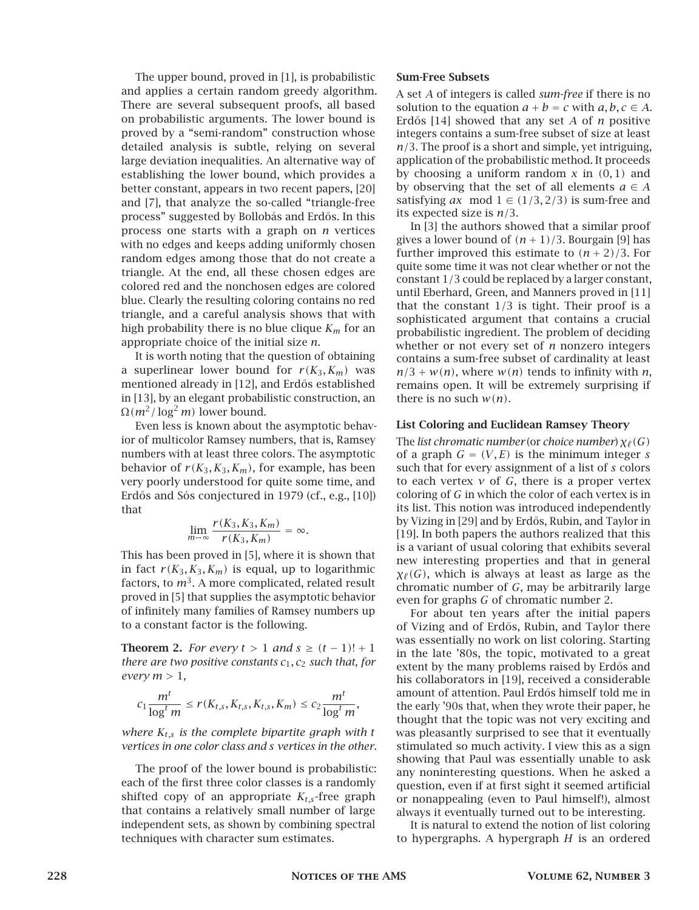The upper bound, proved in [1], is probabilistic and applies a certain random greedy algorithm. There are several subsequent proofs, all based on probabilistic arguments. The lower bound is proved by a "semi-random" construction whose detailed analysis is subtle, relying on several large deviation inequalities. An alternative way of establishing the lower bound, which provides a better constant, appears in two recent papers, [20] and [7], that analyze the so-called "triangle-free process" suggested by Bollobás and Erdős. In this process one starts with a graph on *n* vertices with no edges and keeps adding uniformly chosen random edges among those that do not create a triangle. At the end, all these chosen edges are colored red and the nonchosen edges are colored blue. Clearly the resulting coloring contains no red triangle, and a careful analysis shows that with high probability there is no blue clique *K<sup>m</sup>* for an appropriate choice of the initial size *n*.

It is worth noting that the question of obtaining a superlinear lower bound for  $r(K_3, K_m)$  was mentioned already in [12], and Erdős established in [13], by an elegant probabilistic construction, an  $\Omega(m^2/\log^2 m)$  lower bound.

Even less is known about the asymptotic behavior of multicolor Ramsey numbers, that is, Ramsey numbers with at least three colors. The asymptotic behavior of  $r(K_3, K_3, K_m)$ , for example, has been very poorly understood for quite some time, and Erdős and Sós conjectured in 1979 (cf., e.g., [10]) that

$$
\lim_{m\to\infty}\frac{r(K_3,K_3,K_m)}{r(K_3,K_m)}=\infty.
$$

This has been proved in [5], where it is shown that in fact  $r(K_3, K_3, K_m)$  is equal, up to logarithmic factors, to *m*<sup>3</sup> . A more complicated, related result proved in [5] that supplies the asymptotic behavior of infinitely many families of Ramsey numbers up to a constant factor is the following.

**Theorem 2.** *For every*  $t > 1$  *and*  $s \ge (t - 1)! + 1$ *there are two positive constants c*1*, c*<sup>2</sup> *such that, for every*  $m > 1$ ,

$$
c_1 \frac{m^t}{\log^t m} \le r(K_{t,s}, K_{t,s}, K_{t,s}, K_m) \le c_2 \frac{m^t}{\log^t m},
$$

*where Kt,s is the complete bipartite graph with t vertices in one color class and s vertices in the other.*

The proof of the lower bound is probabilistic: each of the first three color classes is a randomly shifted copy of an appropriate  $K_{t,s}$ -free graph that contains a relatively small number of large independent sets, as shown by combining spectral techniques with character sum estimates.

#### Sum-Free Subsets

A set *A* of integers is called *sum-free* if there is no solution to the equation  $a + b = c$  with  $a, b, c \in A$ . Erdős [14] showed that any set *A* of *n* positive integers contains a sum-free subset of size at least *n/*3. The proof is a short and simple, yet intriguing, application of the probabilistic method. It proceeds by choosing a uniform random  $x$  in  $(0, 1)$  and by observing that the set of all elements  $a \in A$ satisfying  $ax \mod 1 \in (1/3, 2/3)$  is sum-free and its expected size is *n/*3.

In [3] the authors showed that a similar proof gives a lower bound of  $(n + 1)/3$ . Bourgain [9] has further improved this estimate to  $(n + 2)/3$ . For quite some time it was not clear whether or not the constant 1*/*3 could be replaced by a larger constant, until Eberhard, Green, and Manners proved in [11] that the constant 1*/*3 is tight. Their proof is a sophisticated argument that contains a crucial probabilistic ingredient. The problem of deciding whether or not every set of *n* nonzero integers contains a sum-free subset of cardinality at least  $n/3 + w(n)$ , where  $w(n)$  tends to infinity with *n*, remains open. It will be extremely surprising if there is no such  $w(n)$ .

#### List Coloring and Euclidean Ramsey Theory

The *list chromatic number* (or *choice number*)  $\chi$ <sup></sup><sup></sup> $\chi$ <sup></sup><sup> $\chi$ </sup><sup></sup> $\chi$ <sup> $\chi$ </sup> of a graph  $G = (V, E)$  is the minimum integer *s* such that for every assignment of a list of *s* colors to each vertex *v* of *G*, there is a proper vertex coloring of *G* in which the color of each vertex is in its list. This notion was introduced independently by Vizing in [29] and by Erdős, Rubin, and Taylor in [19]. In both papers the authors realized that this is a variant of usual coloring that exhibits several new interesting properties and that in general  $\chi$ <sup></sup></sup> $(G)$ , which is always at least as large as the chromatic number of *G*, may be arbitrarily large even for graphs *G* of chromatic number 2.

For about ten years after the initial papers of Vizing and of Erd˝os, Rubin, and Taylor there was essentially no work on list coloring. Starting in the late '80s, the topic, motivated to a great extent by the many problems raised by Erdős and his collaborators in [19], received a considerable amount of attention. Paul Erdős himself told me in the early '90s that, when they wrote their paper, he thought that the topic was not very exciting and was pleasantly surprised to see that it eventually stimulated so much activity. I view this as a sign showing that Paul was essentially unable to ask any noninteresting questions. When he asked a question, even if at first sight it seemed artificial or nonappealing (even to Paul himself!), almost always it eventually turned out to be interesting.

It is natural to extend the notion of list coloring to hypergraphs. A hypergraph *H* is an ordered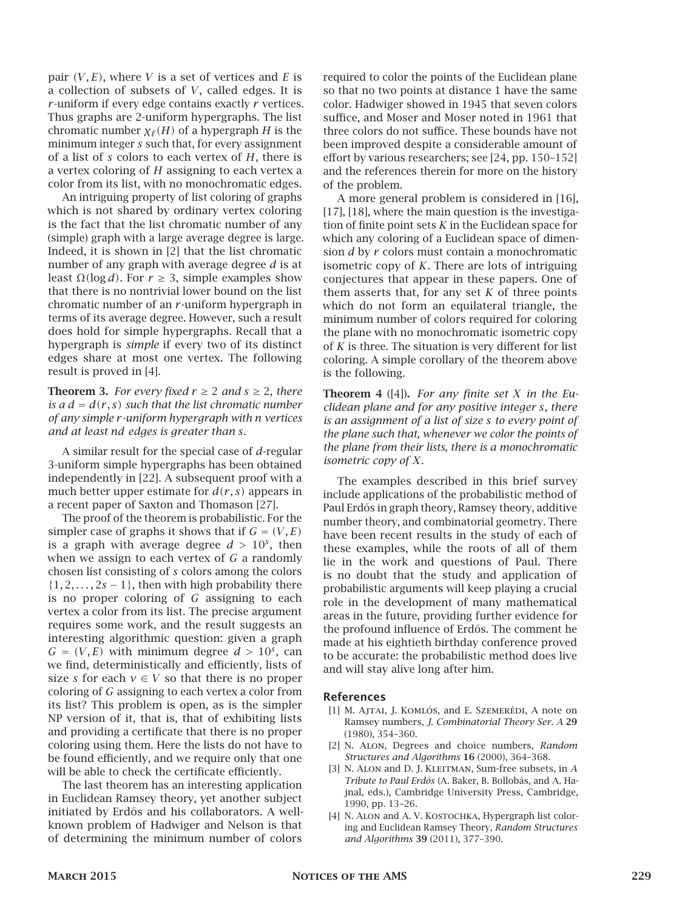pair *(V, E)*, where *V* is a set of vertices and *E* is a collection of subsets of *V*, called edges. It is *r* -uniform if every edge contains exactly *r* vertices. Thus graphs are 2-uniform hypergraphs. The list chromatic number  $\chi$ <sup></sup><sup> $\ell$ </sup> (*H*) of a hypergraph *H* is the minimum integer *s* such that, for every assignment of a list of *s* colors to each vertex of *H*, there is a vertex coloring of *H* assigning to each vertex a color from its list, with no monochromatic edges.

An intriguing property of list coloring of graphs which is not shared by ordinary vertex coloring is the fact that the list chromatic number of any (simple) graph with a large average degree is large. Indeed, it is shown in [2] that the list chromatic number of any graph with average degree *d* is at least <sup>Ω</sup>*(*log *d)*. For *<sup>r</sup>* <sup>≥</sup> 3, simple examples show that there is no nontrivial lower bound on the list chromatic number of an *r* -uniform hypergraph in terms of its average degree. However, such a result does hold for simple hypergraphs. Recall that a hypergraph is *simple* if every two of its distinct edges share at most one vertex. The following result is proved in [4].

**Theorem 3.** *For every fixed*  $r \geq 2$  *and*  $s \geq 2$ *, there is a*  $d = d(r, s)$  *such that the list chromatic number of any simple r -uniform hypergraph with n vertices and at least nd edges is greater than s.*

A similar result for the special case of *d*-regular 3-uniform simple hypergraphs has been obtained independently in [22]. A subsequent proof with a much better upper estimate for *d(r, s)* appears in a recent paper of Saxton and Thomason [27].

The proof of the theorem is probabilistic. For the simpler case of graphs it shows that if  $G = (V, E)$ is a graph with average degree  $d > 10<sup>s</sup>$ , then when we assign to each vertex of *G* a randomly chosen list consisting of *s* colors among the colors  $\{1, 2, \ldots, 2s - 1\}$ , then with high probability there is no proper coloring of *G* assigning to each vertex a color from its list. The precise argument requires some work, and the result suggests an interesting algorithmic question: given a graph  $G = (V, E)$  with minimum degree  $d > 10<sup>s</sup>$ , can we find, deterministically and efficiently, lists of size *s* for each  $v \in V$  so that there is no proper coloring of *G* assigning to each vertex a color from its list? This problem is open, as is the simpler NP version of it, that is, that of exhibiting lists and providing a certificate that there is no proper coloring using them. Here the lists do not have to be found efficiently, and we require only that one will be able to check the certificate efficiently.

The last theorem has an interesting application in Euclidean Ramsey theory, yet another subject initiated by Erdős and his collaborators. A wellknown problem of Hadwiger and Nelson is that of determining the minimum number of colors

required to color the points of the Euclidean plane so that no two points at distance 1 have the same color. Hadwiger showed in 1945 that seven colors suffice, and Moser and Moser noted in 1961 that three colors do not suffice. These bounds have not been improved despite a considerable amount of effort by various researchers; see [24, pp. 150–152] and the references therein for more on the history of the problem.

A more general problem is considered in [16], [17], [18], where the main question is the investigation of finite point sets *K* in the Euclidean space for which any coloring of a Euclidean space of dimension *d* by *r* colors must contain a monochromatic isometric copy of *K*. There are lots of intriguing conjectures that appear in these papers. One of them asserts that, for any set  $K$  of three points which do not form an equilateral triangle, the minimum number of colors required for coloring the plane with no monochromatic isometric copy of *K* is three. The situation is very different for list coloring. A simple corollary of the theorem above is the following.

Theorem 4 ([4]). *For any finite set X in the Euclidean plane and for any positive integer s, there is an assignment of a list of size s to every point of the plane such that, whenever we color the points of the plane from their lists, there is a monochromatic isometric copy of X.*

The examples described in this brief survey include applications of the probabilistic method of Paul Erdős in graph theory, Ramsey theory, additive number theory, and combinatorial geometry. There have been recent results in the study of each of these examples, while the roots of all of them lie in the work and questions of Paul. There is no doubt that the study and application of probabilistic arguments will keep playing a crucial role in the development of many mathematical areas in the future, providing further evidence for the profound influence of Erdős. The comment he made at his eightieth birthday conference proved to be accurate: the probabilistic method does live and will stay alive long after him.

#### References

- [1] M. Ajtai, J. Komlós, and E. Szemerédi, A note on Ramsey numbers, *J. Combinatorial Theory Ser. A* 29 (1980), 354–360.
- [2] N. Alon, Degrees and choice numbers, *Random Structures and Algorithms* 16 (2000), 364–368.
- [3] N. Alon and D. J. Kleitman, Sum-free subsets, in *A Tribute to Paul Erd˝os* (A. Baker, B. Bollobás, and A. Hajnal, eds.), Cambridge University Press, Cambridge, 1990, pp. 13–26.
- [4] N. ALON and A. V. KOSTOCHKA, Hypergraph list coloring and Euclidean Ramsey Theory, *Random Structures and Algorithms* 39 (2011), 377–390.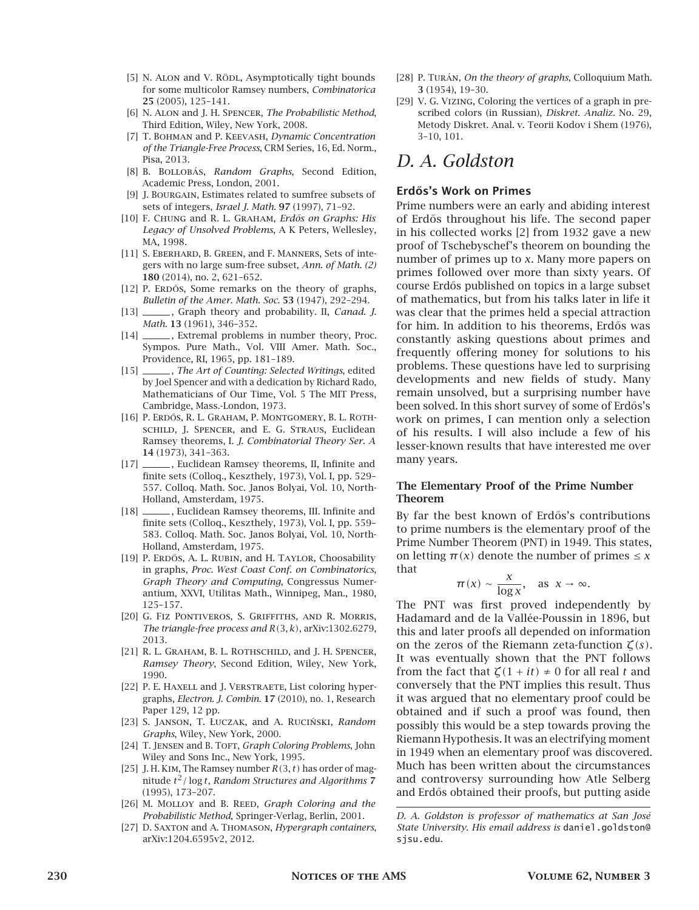- [5] N. ALON and V. RÖDL, Asymptotically tight bounds for some multicolor Ramsey numbers, *Combinatorica* 25 (2005), 125–141.
- [6] N. Alon and J. H. Spencer, *The Probabilistic Method*, Third Edition, Wiley, New York, 2008.
- [7] T. Bohman and P. Keevash, *Dynamic Concentration of the Triangle-Free Process*, CRM Series, 16, Ed. Norm., Pisa, 2013.
- [8] B. Bollobás, *Random Graphs*, Second Edition, Academic Press, London, 2001.
- [9] J. BOURGAIN, Estimates related to sumfree subsets of sets of integers, *Israel J. Math.* 97 (1997), 71–92.
- [10] F. CHUNG and R. L. GRAHAM, *Erdős on Graphs: His Legacy of Unsolved Problems*, A K Peters, Wellesley, MA, 1998.
- [11] S. EBERHARD, B. GREEN, and F. MANNERS, Sets of integers with no large sum-free subset, *Ann. of Math. (2)* 180 (2014), no. 2, 621–652.
- [12] P. ERDŐS, Some remarks on the theory of graphs, *Bulletin of the Amer. Math. Soc.* 53 (1947), 292–294.
- [13] \_\_\_\_\_\_, Graph theory and probability. II, *Canad. J. Math.* 13 (1961), 346–352.
- [14] , Extremal problems in number theory, Proc. Sympos. Pure Math., Vol. VIII Amer. Math. Soc., Providence, RI, 1965, pp. 181–189.
- [15] \_\_\_\_\_\_, *The Art of Counting: Selected Writings*, edited by Joel Spencer and with a dedication by Richard Rado, Mathematicians of Our Time, Vol. 5 The MIT Press, Cambridge, Mass.-London, 1973.
- [16] P. ERDŐS, R. L. GRAHAM, P. MONTGOMERY, B. L. ROTHschild, J. Spencer, and E. G. Straus, Euclidean Ramsey theorems, I. *J. Combinatorial Theory Ser. A* 14 (1973), 341–363.
- [17] \_\_\_\_\_\_\_, Euclidean Ramsey theorems, II, Infinite and finite sets (Colloq., Keszthely, 1973), Vol. I, pp. 529– 557. Colloq. Math. Soc. Janos Bolyai, Vol. 10, North-Holland, Amsterdam, 1975.
- [18] , Euclidean Ramsey theorems, III. Infinite and finite sets (Colloq., Keszthely, 1973), Vol. I, pp. 559– 583. Colloq. Math. Soc. Janos Bolyai, Vol. 10, North-Holland, Amsterdam, 1975.
- [19] P. ERDŐS, A. L. RUBIN, and H. TAYLOR, Choosability in graphs, *Proc. West Coast Conf. on Combinatorics, Graph Theory and Computing*, Congressus Numerantium, XXVI, Utilitas Math., Winnipeg, Man., 1980, 125–157.
- [20] G. Fiz Pontiveros, S. Griffiths, and R. Morris, *The triangle-free process and R(*3*, k)*, arXiv:1302.6279, 2013.
- [21] R. L. GRAHAM, B. L. ROTHSCHILD, and J. H. SPENCER, *Ramsey Theory*, Second Edition, Wiley, New York, 1990.
- [22] P. E. HAXELL and J. VERSTRAETE, List coloring hypergraphs, *Electron. J. Combin.* 17 (2010), no. 1, Research Paper 129, 12 pp.
- [23] S. JANSON, T. ŁUCZAK, and A. RUCIŃSKI, *Random Graphs*, Wiley, New York, 2000.
- [24] T. JENSEN and B. TOFT, *Graph Coloring Problems*, John Wiley and Sons Inc., New York, 1995.
- [25] J. H. Kim, The Ramsey number *R(*3*, t)* has order of magnitude *t* <sup>2</sup>*/* log *t*, *Random Structures and Algorithms* 7 (1995), 173–207.
- [26] M. Molloy and B. Reed, *Graph Coloring and the Probabilistic Method*, Springer-Verlag, Berlin, 2001.
- [27] D. Saxton and A. Thomason, *Hypergraph containers*, arXiv:1204.6595v2, 2012.
- [28] P. Turán, *On the theory of graphs*, Colloquium Math. 3 (1954), 19–30.
- [29] V. G. Vizing, Coloring the vertices of a graph in prescribed colors (in Russian), *Diskret. Analiz.* No. 29, Metody Diskret. Anal. v. Teorii Kodov i Shem (1976), 3–10, 101.

# *D. A. Goldston*

#### Erdős's Work on Primes

Prime numbers were an early and abiding interest of Erd˝os throughout his life. The second paper in his collected works [2] from 1932 gave a new proof of Tschebyschef's theorem on bounding the number of primes up to *x*. Many more papers on primes followed over more than sixty years. Of course Erd˝os published on topics in a large subset of mathematics, but from his talks later in life it was clear that the primes held a special attraction for him. In addition to his theorems, Erdős was constantly asking questions about primes and frequently offering money for solutions to his problems. These questions have led to surprising developments and new fields of study. Many remain unsolved, but a surprising number have been solved. In this short survey of some of Erdős's work on primes, I can mention only a selection of his results. I will also include a few of his lesser-known results that have interested me over many years.

#### The Elementary Proof of the Prime Number Theorem

By far the best known of Erdős's contributions to prime numbers is the elementary proof of the Prime Number Theorem (PNT) in 1949. This states, on letting  $\pi(x)$  denote the number of primes  $\leq x$ that

$$
\pi(x) \sim \frac{x}{\log x}, \quad \text{as } x \to \infty.
$$

The PNT was first proved independently by Hadamard and de la Vallée-Poussin in 1896, but this and later proofs all depended on information on the zeros of the Riemann zeta-function *ζ(s)*. It was eventually shown that the PNT follows from the fact that  $\zeta(1 + it) \neq 0$  for all real *t* and conversely that the PNT implies this result. Thus it was argued that no elementary proof could be obtained and if such a proof was found, then possibly this would be a step towards proving the Riemann Hypothesis. It was an electrifying moment in 1949 when an elementary proof was discovered. Much has been written about the circumstances and controversy surrounding how Atle Selberg and Erd˝os obtained their proofs, but putting aside

*D. A. Goldston is professor of mathematics at San José State University. His email address is* daniel.goldston@ sjsu.edu*.*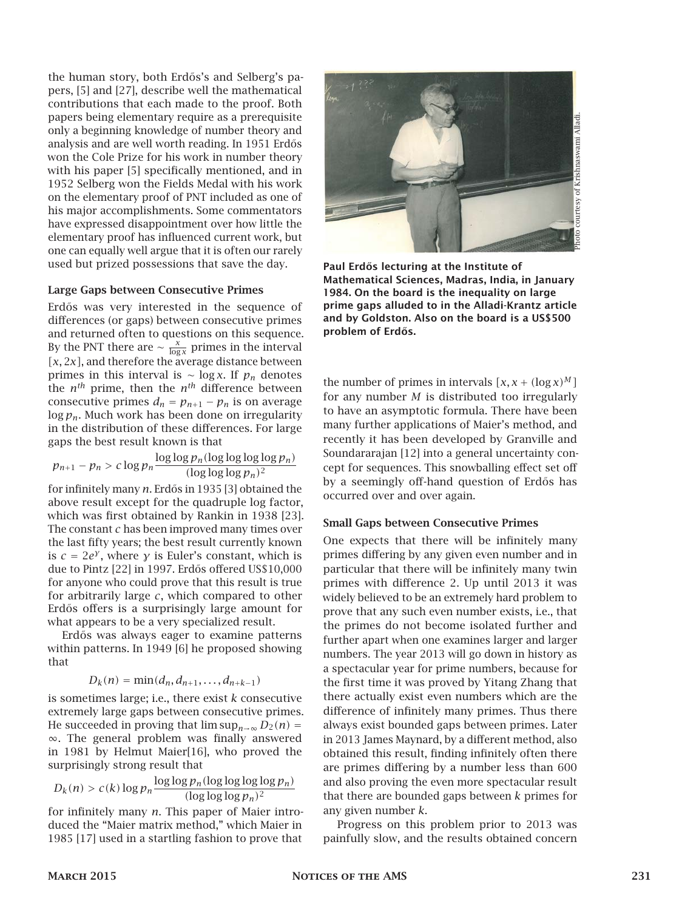the human story, both Erdős's and Selberg's papers, [5] and [27], describe well the mathematical contributions that each made to the proof. Both papers being elementary require as a prerequisite only a beginning knowledge of number theory and analysis and are well worth reading. In 1951 Erdős won the Cole Prize for his work in number theory with his paper [5] specifically mentioned, and in 1952 Selberg won the Fields Medal with his work on the elementary proof of PNT included as one of his major accomplishments. Some commentators have expressed disappointment over how little the elementary proof has influenced current work, but one can equally well argue that it is often our rarely used but prized possessions that save the day.

#### Large Gaps between Consecutive Primes

Erdős was very interested in the sequence of differences (or gaps) between consecutive primes and returned often to questions on this sequence. By the PNT there are  $\sim \frac{x}{\log x}$  primes in the interval *[x,* 2*x]*, and therefore the average distance between primes in this interval is ∼ log *x*. If  $p_n$  denotes the  $n^{th}$  prime, then the  $n^{th}$  difference between consecutive primes  $d_n = p_{n+1} - p_n$  is on average log *pn*. Much work has been done on irregularity in the distribution of these differences. For large gaps the best result known is that

$$
p_{n+1} - p_n > c \log p_n \frac{\log \log p_n(\log \log \log p_n)}{(\log \log \log p_n)^2}
$$

for infinitely many *n*. Erdős in 1935 [3] obtained the above result except for the quadruple log factor, which was first obtained by Rankin in 1938 [23]. The constant *c* has been improved many times over the last fifty years; the best result currently known is  $c = 2e^{\gamma}$ , where  $\gamma$  is Euler's constant, which is due to Pintz [22] in 1997. Erdős offered US\$10,000 for anyone who could prove that this result is true for arbitrarily large *c*, which compared to other Erd˝os offers is a surprisingly large amount for what appears to be a very specialized result.

Erdős was always eager to examine patterns within patterns. In 1949 [6] he proposed showing that

$$
D_k(n) = \min(d_n, d_{n+1}, \ldots, d_{n+k-1})
$$

is sometimes large; i.e., there exist *k* consecutive extremely large gaps between consecutive primes. He succeeded in proving that  $\limsup_{n\to\infty} D_2(n) =$ ∞. The general problem was finally answered in 1981 by Helmut Maier[16], who proved the surprisingly strong result that

$$
D_k(n) > c(k) \log p_n \frac{\log \log p_n(\log \log \log p_n)}{(\log \log \log p_n)^2}
$$

for infinitely many *n*. This paper of Maier introduced the "Maier matrix method," which Maier in 1985 [17] used in a startling fashion to prove that



Paul Erdős lecturing at the Institute of Mathematical Sciences, Madras, India, in January 1984. On the board is the inequality on large prime gaps alluded to in the Alladi-Krantz article and by Goldston. Also on the board is a US\$500 problem of Erdős.

the number of primes in intervals  $[x, x + (\log x)^M]$ for any number *M* is distributed too irregularly to have an asymptotic formula. There have been many further applications of Maier's method, and recently it has been developed by Granville and Soundararajan [12] into a general uncertainty concept for sequences. This snowballing effect set off by a seemingly off-hand question of Erdős has occurred over and over again.

#### Small Gaps between Consecutive Primes

One expects that there will be infinitely many primes differing by any given even number and in particular that there will be infinitely many twin primes with difference 2. Up until 2013 it was widely believed to be an extremely hard problem to prove that any such even number exists, i.e., that the primes do not become isolated further and further apart when one examines larger and larger numbers. The year 2013 will go down in history as a spectacular year for prime numbers, because for the first time it was proved by Yitang Zhang that there actually exist even numbers which are the difference of infinitely many primes. Thus there always exist bounded gaps between primes. Later in 2013 James Maynard, by a different method, also obtained this result, finding infinitely often there are primes differing by a number less than 600 and also proving the even more spectacular result that there are bounded gaps between *k* primes for any given number *k*.

Progress on this problem prior to 2013 was painfully slow, and the results obtained concern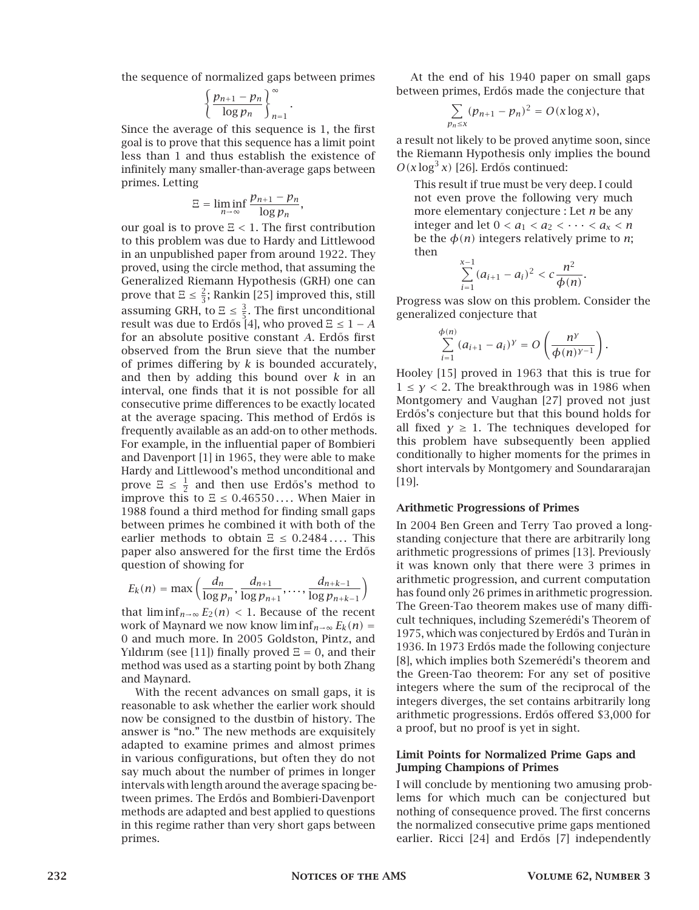the sequence of normalized gaps between primes

$$
\left\{\frac{p_{n+1}-p_n}{\log p_n}\right\}_{n=1}^{\infty}
$$

*.*

Since the average of this sequence is 1, the first goal is to prove that this sequence has a limit point less than 1 and thus establish the existence of infinitely many smaller-than-average gaps between primes. Letting

$$
\Xi = \liminf_{n \to \infty} \frac{p_{n+1} - p_n}{\log p_n},
$$

our goal is to prove <sup>Ξ</sup> *<sup>&</sup>lt;* 1. The first contribution to this problem was due to Hardy and Littlewood in an unpublished paper from around 1922. They proved, using the circle method, that assuming the Generalized Riemann Hypothesis (GRH) one can prove that  $\Xi \leq \frac{2}{3}$ ; Rankin [25] improved this, still assuming GRH, to  $E \leq \frac{3}{5}$ . The first unconditional<br>result was due to Frdős [4], who proved  $E < 1$ result was due to Erdős [4], who proved  $\Xi \leq 1 - A$ for an absolute positive constant *A*. Erdős first observed from the Brun sieve that the number of primes differing by *k* is bounded accurately, and then by adding this bound over *k* in an interval, one finds that it is not possible for all consecutive prime differences to be exactly located at the average spacing. This method of Erdős is frequently available as an add-on to other methods. For example, in the influential paper of Bombieri and Davenport [1] in 1965, they were able to make Hardy and Littlewood's method unconditional and prove  $\Xi \leq \frac{1}{2}$  and then use Erdős's method to  $\Xi$ improve this to <sup>Ξ</sup> <sup>≤</sup> <sup>0</sup>*.*<sup>46550</sup> *. . .* . When Maier in 1988 found a third method for finding small gaps between primes he combined it with both of the earlier methods to obtain  $E \leq 0.2484...$  This paper also answered for the first time the Erdős question of showing for

$$
E_k(n) = \max\left(\frac{d_n}{\log p_n}, \frac{d_{n+1}}{\log p_{n+1}}, \dots, \frac{d_{n+k-1}}{\log p_{n+k-1}}\right)
$$

that  $\liminf_{n\to\infty} E_2(n) < 1$ . Because of the recent work of Maynard we now know  $\liminf_{n\to\infty} E_k(n) =$ 0 and much more. In 2005 Goldston, Pintz, and Yıldırım (see [11]) finally proved  $E = 0$ , and their method was used as a starting point by both Zhang and Maynard.

With the recent advances on small gaps, it is reasonable to ask whether the earlier work should now be consigned to the dustbin of history. The answer is "no." The new methods are exquisitely adapted to examine primes and almost primes in various configurations, but often they do not say much about the number of primes in longer intervals with length around the average spacing between primes. The Erdős and Bombieri-Davenport methods are adapted and best applied to questions in this regime rather than very short gaps between primes.

At the end of his 1940 paper on small gaps between primes, Erdős made the conjecture that

$$
\sum_{p_n\leq x}(p_{n+1}-p_n)^2=O(x\log x),
$$

a result not likely to be proved anytime soon, since the Riemann Hypothesis only implies the bound  $O(x \log^3 x)$  [26]. Erdős continued:

This result if true must be very deep. I could not even prove the following very much more elementary conjecture : Let *n* be any integer and let  $0 < a_1 < a_2 < \cdots < a_x < n$ be the  $\phi(n)$  integers relatively prime to *n*; then

$$
\sum_{i=1}^{x-1} (a_{i+1} - a_i)^2 < c \frac{n^2}{\phi(n)}.
$$

Progress was slow on this problem. Consider the generalized conjecture that

$$
\sum_{i=1}^{\phi(n)} (a_{i+1}-a_i)^{\gamma}=O\left(\frac{n^{\gamma}}{\phi(n)^{\gamma-1}}\right).
$$

Hooley [15] proved in 1963 that this is true for  $1 \leq y < 2$ . The breakthrough was in 1986 when Montgomery and Vaughan [27] proved not just Erdős's conjecture but that this bound holds for all fixed  $\gamma \geq 1$ . The techniques developed for this problem have subsequently been applied conditionally to higher moments for the primes in short intervals by Montgomery and Soundararajan [19].

#### Arithmetic Progressions of Primes

In 2004 Ben Green and Terry Tao proved a longstanding conjecture that there are arbitrarily long arithmetic progressions of primes [13]. Previously it was known only that there were 3 primes in arithmetic progression, and current computation has found only 26 primes in arithmetic progression. The Green-Tao theorem makes use of many difficult techniques, including Szemerédi's Theorem of 1975, which was conjectured by Erdős and Turàn in 1936. In 1973 Erdős made the following conjecture [8], which implies both Szemerédi's theorem and the Green-Tao theorem: For any set of positive integers where the sum of the reciprocal of the integers diverges, the set contains arbitrarily long arithmetic progressions. Erdős offered \$3,000 for a proof, but no proof is yet in sight.

#### Limit Points for Normalized Prime Gaps and Jumping Champions of Primes

I will conclude by mentioning two amusing problems for which much can be conjectured but nothing of consequence proved. The first concerns the normalized consecutive prime gaps mentioned earlier. Ricci [24] and Erdős [7] independently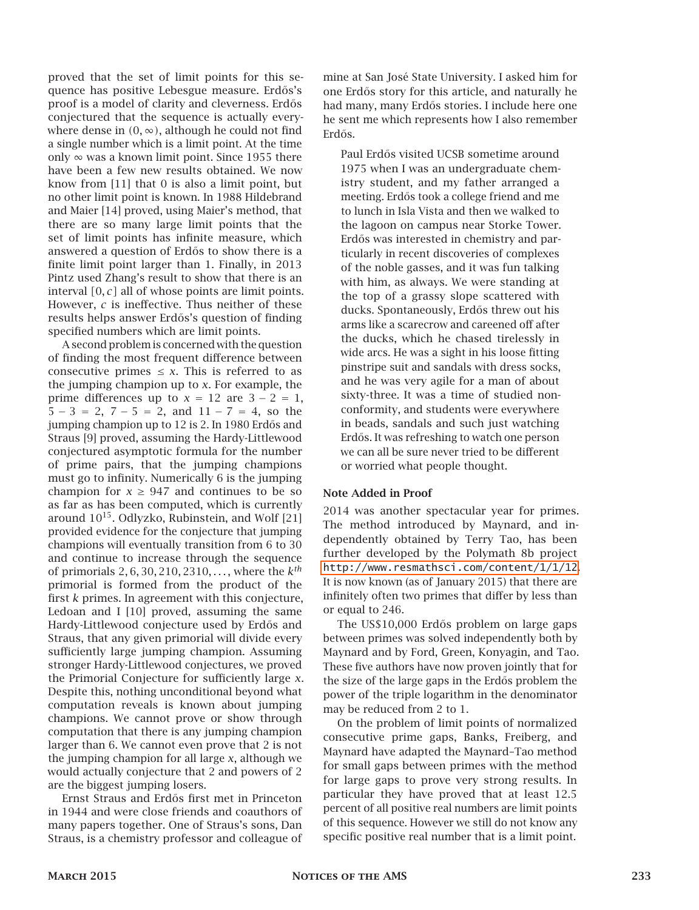proved that the set of limit points for this sequence has positive Lebesgue measure. Erdős's proof is a model of clarity and cleverness. Erdős conjectured that the sequence is actually everywhere dense in  $(0, \infty)$ , although he could not find a single number which is a limit point. At the time only  $\infty$  was a known limit point. Since 1955 there have been a few new results obtained. We now know from [11] that 0 is also a limit point, but no other limit point is known. In 1988 Hildebrand and Maier [14] proved, using Maier's method, that there are so many large limit points that the set of limit points has infinite measure, which answered a question of Erdős to show there is a finite limit point larger than 1. Finally, in 2013 Pintz used Zhang's result to show that there is an interval *[*0*, c]* all of whose points are limit points. However, *c* is ineffective. Thus neither of these results helps answer Erdős's question of finding specified numbers which are limit points.

A second problem is concerned with the question of finding the most frequent difference between consecutive primes  $\leq x$ . This is referred to as the jumping champion up to *x*. For example, the prime differences up to  $x = 12$  are  $3 - 2 = 1$ ,  $5 - 3 = 2$ ,  $7 - 5 = 2$ , and  $11 - 7 = 4$ , so the jumping champion up to 12 is 2. In 1980 Erdős and Straus [9] proved, assuming the Hardy-Littlewood conjectured asymptotic formula for the number of prime pairs, that the jumping champions must go to infinity. Numerically 6 is the jumping champion for  $x \geq 947$  and continues to be so as far as has been computed, which is currently around  $10^{15}$ . Odlyzko, Rubinstein, and Wolf [21] provided evidence for the conjecture that jumping champions will eventually transition from 6 to 30 and continue to increase through the sequence of primorials 2*,* 6*,* 30*,* 210*,* 2310*, . . .* , where the *k th* primorial is formed from the product of the first *k* primes. In agreement with this conjecture, Ledoan and I [10] proved, assuming the same Hardy-Littlewood conjecture used by Erdős and Straus, that any given primorial will divide every sufficiently large jumping champion. Assuming stronger Hardy-Littlewood conjectures, we proved the Primorial Conjecture for sufficiently large *x*. Despite this, nothing unconditional beyond what computation reveals is known about jumping champions. We cannot prove or show through computation that there is any jumping champion larger than 6. We cannot even prove that 2 is not the jumping champion for all large *x*, although we would actually conjecture that 2 and powers of 2 are the biggest jumping losers.

Ernst Straus and Erd˝os first met in Princeton in 1944 and were close friends and coauthors of many papers together. One of Straus's sons, Dan Straus, is a chemistry professor and colleague of mine at San José State University. I asked him for one Erdős story for this article, and naturally he had many, many Erd˝os stories. I include here one he sent me which represents how I also remember Erdős.

Paul Erdős visited UCSB sometime around 1975 when I was an undergraduate chemistry student, and my father arranged a meeting. Erdős took a college friend and me to lunch in Isla Vista and then we walked to the lagoon on campus near Storke Tower. Erdős was interested in chemistry and particularly in recent discoveries of complexes of the noble gasses, and it was fun talking with him, as always. We were standing at the top of a grassy slope scattered with ducks. Spontaneously, Erdős threw out his arms like a scarecrow and careened off after the ducks, which he chased tirelessly in wide arcs. He was a sight in his loose fitting pinstripe suit and sandals with dress socks, and he was very agile for a man of about sixty-three. It was a time of studied nonconformity, and students were everywhere in beads, sandals and such just watching Erdős. It was refreshing to watch one person we can all be sure never tried to be different or worried what people thought.

#### Note Added in Proof

2014 was another spectacular year for primes. The method introduced by Maynard, and independently obtained by Terry Tao, has been further developed by the Polymath 8b project <http://www.resmathsci.com/content/1/1/12>. It is now known (as of January 2015) that there are infinitely often two primes that differ by less than or equal to 246.

The US\$10,000 Erdős problem on large gaps between primes was solved independently both by Maynard and by Ford, Green, Konyagin, and Tao. These five authors have now proven jointly that for the size of the large gaps in the Erdős problem the power of the triple logarithm in the denominator may be reduced from 2 to 1.

On the problem of limit points of normalized consecutive prime gaps, Banks, Freiberg, and Maynard have adapted the Maynard–Tao method for small gaps between primes with the method for large gaps to prove very strong results. In particular they have proved that at least 12.5 percent of all positive real numbers are limit points of this sequence. However we still do not know any specific positive real number that is a limit point.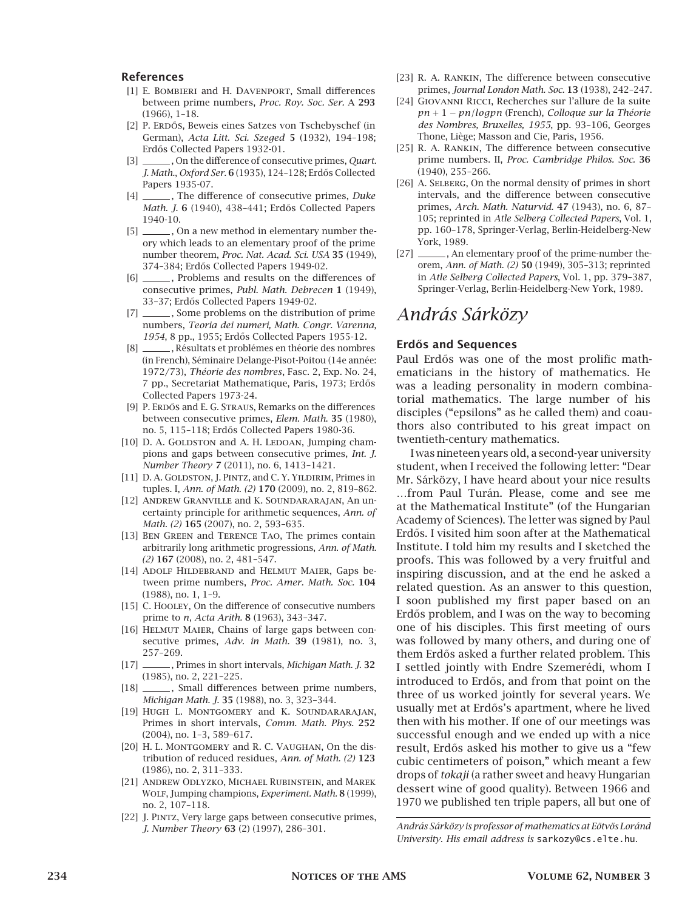#### References

- [1] E. Bombieri and H. Davenport, Small differences between prime numbers, *Proc. Roy. Soc. Ser.* A 293 (1966), 1–18.
- [2] P. ERDŐS, Beweis eines Satzes von Tschebyschef (in German), *Acta Litt. Sci. Szeged* 5 (1932), 194–198; Erdős Collected Papers 1932-01.
- [3] , On the difference of consecutive primes, *Quart. J. Math.*, *Oxford Ser.* 6 (1935), 124–128; Erd˝os Collected Papers 1935-07.
- [4] , The difference of consecutive primes, *Duke Math. J.* 6 (1940), 438-441; Erdős Collected Papers 1940-10.
- [5] \_\_\_\_\_\_, On a new method in elementary number theory which leads to an elementary proof of the prime number theorem, *Proc. Nat. Acad. Sci. USA* 35 (1949), 374-384; Erdős Collected Papers 1949-02.
- [6] \_\_\_\_\_\_, Problems and results on the differences of consecutive primes, *Publ. Math. Debrecen* 1 (1949), 33-37; Erdős Collected Papers 1949-02.
- [7] \_\_\_\_\_\_\_, Some problems on the distribution of prime numbers, *Teoria dei numeri, Math. Congr. Varenna, 1954*, 8 pp., 1955; Erd˝os Collected Papers 1955-12.
- [8] , Résultats et problémes en théorie des nombres (in French), Séminaire Delange-Pisot-Poitou (14e année: 1972/73), *Théorie des nombres*, Fasc. 2, Exp. No. 24, 7 pp., Secretariat Mathematique, Paris, 1973; Erdős Collected Papers 1973-24.
- [9] P. ERDŐS and E. G. STRAUS, Remarks on the differences between consecutive primes, *Elem. Math*. 35 (1980), no. 5, 115-118; Erdős Collected Papers 1980-36.
- [10] D. A. GOLDSTON and A. H. LEDOAN, Jumping champions and gaps between consecutive primes, *Int. J. Number Theory* 7 (2011), no. 6, 1413–1421.
- [11] D. A. GOLDSTON, J. PINTZ, and C. Y. YILDIRIM, Primes in tuples. I, *Ann. of Math. (2)* 170 (2009), no. 2, 819–862.
- [12] Andrew Granville and K. Soundararajan, An uncertainty principle for arithmetic sequences, *Ann. of Math. (2)* 165 (2007), no. 2, 593–635.
- [13] Ben Green and Terence Tao, The primes contain arbitrarily long arithmetic progressions, *Ann. of Math. (2)* 167 (2008), no. 2, 481–547.
- [14] ADOLF HILDEBRAND and HELMUT MAIER, Gaps between prime numbers, *Proc. Amer. Math. Soc.* 104 (1988), no. 1, 1–9.
- [15] C. HOOLEY, On the difference of consecutive numbers prime to *n*, *Acta Arith.* 8 (1963), 343–347.
- [16] Helmut Maier, Chains of large gaps between consecutive primes, *Adv. in Math.* 39 (1981), no. 3, 257–269.
- [17] , Primes in short intervals, *Michigan Math. J.* 32 (1985), no. 2, 221–225.
- [18] \_\_\_\_\_\_, Small differences between prime numbers, *Michigan Math. J.* 35 (1988), no. 3, 323–344.
- [19] Hugh L. Montgomery and K. Soundararajan, Primes in short intervals, *Comm. Math. Phys.* 252 (2004), no. 1–3, 589–617.
- [20] H. L. MONTGOMERY and R. C. VAUGHAN, On the distribution of reduced residues, *Ann. of Math. (2)* 123 (1986), no. 2, 311–333.
- [21] Andrew Odlyzko, Michael Rubinstein, and Marek Wolf, Jumping champions, *Experiment. Math.* 8 (1999), no. 2, 107–118.
- [22] J. Pintz, Very large gaps between consecutive primes, *J. Number Theory* 63 (2) (1997), 286–301.
- [23] R. A. Rankin, The difference between consecutive primes, *Journal London Math. Soc.* 13 (1938), 242–247.
- [24] Giovanni Ricci, Recherches sur l'allure de la suite *pn* + 1 − *pn/logpn* (French), *Colloque sur la Théorie des Nombres, Bruxelles, 1955*, pp. 93–106, Georges Thone, Liège; Masson and Cie, Paris, 1956.
- [25] R. A. Rankin, The difference between consecutive prime numbers. II, *Proc. Cambridge Philos. Soc.* 36 (1940), 255–266.
- [26] A. SELBERG, On the normal density of primes in short intervals, and the difference between consecutive primes, *Arch. Math. Naturvid.* 47 (1943), no. 6, 87– 105; reprinted in *Atle Selberg Collected Papers*, Vol. 1, pp. 160–178, Springer-Verlag, Berlin-Heidelberg-New York, 1989.
- [27] , An elementary proof of the prime-number theorem, *Ann. of Math. (2)* 50 (1949), 305–313; reprinted in *Atle Selberg Collected Papers*, Vol. 1, pp. 379–387, Springer-Verlag, Berlin-Heidelberg-New York, 1989.

### *András Sárközy*

#### Erdős and Sequences

Paul Erdős was one of the most prolific mathematicians in the history of mathematics. He was a leading personality in modern combinatorial mathematics. The large number of his disciples ("epsilons" as he called them) and coauthors also contributed to his great impact on twentieth-century mathematics.

I was nineteen years old, a second-year university student, when I received the following letter: "Dear Mr. Sárközy, I have heard about your nice results …from Paul Turán. Please, come and see me at the Mathematical Institute" (of the Hungarian Academy of Sciences). The letter was signed by Paul Erdős. I visited him soon after at the Mathematical Institute. I told him my results and I sketched the proofs. This was followed by a very fruitful and inspiring discussion, and at the end he asked a related question. As an answer to this question, I soon published my first paper based on an Erdős problem, and I was on the way to becoming one of his disciples. This first meeting of ours was followed by many others, and during one of them Erdős asked a further related problem. This I settled jointly with Endre Szemerédi, whom I introduced to Erdős, and from that point on the three of us worked jointly for several years. We usually met at Erdős's apartment, where he lived then with his mother. If one of our meetings was successful enough and we ended up with a nice result, Erdős asked his mother to give us a "few cubic centimeters of poison," which meant a few drops of *tokaji* (a rather sweet and heavy Hungarian dessert wine of good quality). Between 1966 and 1970 we published ten triple papers, all but one of

*András Sárközy is professor of mathematics at Eötvös Loránd University. His email address is* sarkozy@cs.elte.hu*.*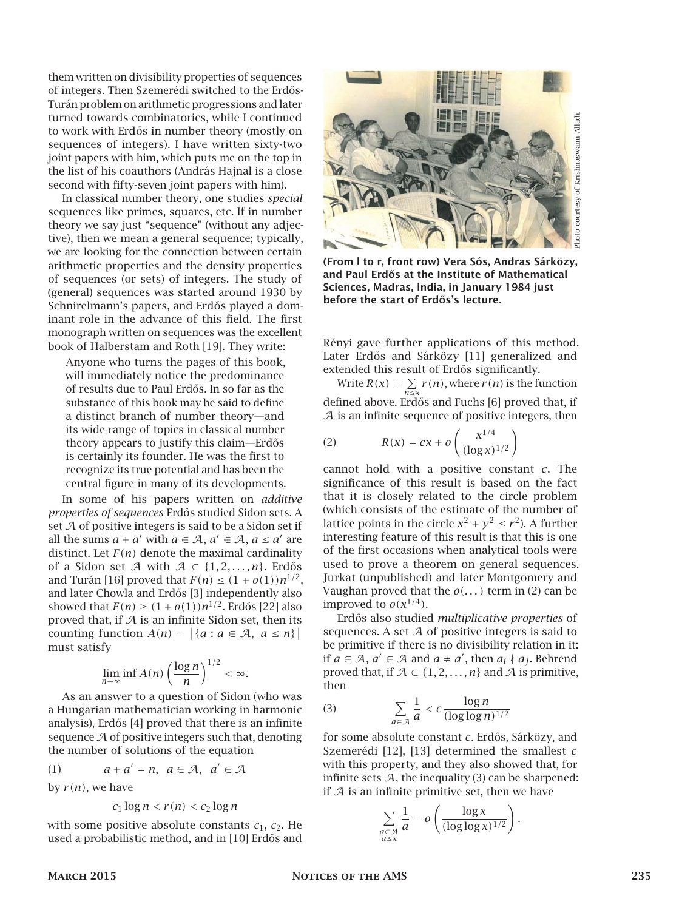them written on divisibility properties of sequences of integers. Then Szemerédi switched to the Erdős-Turán problem on arithmetic progressions and later turned towards combinatorics, while I continued to work with Erdős in number theory (mostly on sequences of integers). I have written sixty-two joint papers with him, which puts me on the top in the list of his coauthors (András Hajnal is a close second with fifty-seven joint papers with him).

In classical number theory, one studies *special* sequences like primes, squares, etc. If in number theory we say just "sequence" (without any adjective), then we mean a general sequence; typically, we are looking for the connection between certain arithmetic properties and the density properties of sequences (or sets) of integers. The study of (general) sequences was started around 1930 by Schnirelmann's papers, and Erdős played a dominant role in the advance of this field. The first monograph written on sequences was the excellent book of Halberstam and Roth [19]. They write:

Anyone who turns the pages of this book, will immediately notice the predominance of results due to Paul Erdős. In so far as the substance of this book may be said to define a distinct branch of number theory—and its wide range of topics in classical number theory appears to justify this claim—Erdős is certainly its founder. He was the first to recognize its true potential and has been the central figure in many of its developments.

In some of his papers written on *additive properties of sequences* Erd˝os studied Sidon sets. A set  $A$  of positive integers is said to be a Sidon set if all the sums  $a + a'$  with  $a \in A$ ,  $a' \in A$ ,  $a \le a'$  are distinct. Let  $F(n)$  denote the maximal cardinality of a Sidon set A with  $A \subset \{1, 2, \ldots, n\}$ . Erdős and Turán [16] proved that  $F(n) \leq (1 + o(1))n^{1/2}$ , and later Chowla and Erdős [3] independently also showed that  $F(n) \ge (1 + o(1))n^{1/2}$ . Erdős [22] also proved that, if  $A$  is an infinite Sidon set, then its counting function  $A(n) = |\{a : a \in \mathcal{A}, a \leq n\}|$ must satisfy

$$
\lim_{n\to\infty}\inf A(n)\left(\frac{\log n}{n}\right)^{1/2}<\infty.
$$

As an answer to a question of Sidon (who was a Hungarian mathematician working in harmonic analysis), Erdős [4] proved that there is an infinite sequence  $A$  of positive integers such that, denoting the number of solutions of the equation

(1) 
$$
a + a' = n, a \in \mathcal{A}, a' \in \mathcal{A}
$$

by  $r(n)$ , we have

$$
c_1\log n < r(n) < c_2\log n
$$

with some positive absolute constants  $c_1$ ,  $c_2$ . He used a probabilistic method, and in [10] Erdős and



(From l to r, front row) Vera Sós, Andras Sárközy, and Paul Erdős at the Institute of Mathematical Sciences, Madras, India, in January 1984 just before the start of Erdős's lecture.

Rényi gave further applications of this method. Later Erdős and Sárközy [11] generalized and extended this result of Erdős significantly.

Write  $R(x) = \sum_{n \le x} r(n)$ , where  $r(n)$  is the function defined above. Erdős and Fuchs [6] proved that, if  $A$  is an infinite sequence of positive integers, then

(2) 
$$
R(x) = cx + o\left(\frac{x^{1/4}}{(\log x)^{1/2}}\right)
$$

cannot hold with a positive constant *c*. The significance of this result is based on the fact that it is closely related to the circle problem (which consists of the estimate of the number of lattice points in the circle  $x^2 + y^2 \le r^2$ ). A further interesting feature of this result is that this is one of the first occasions when analytical tools were used to prove a theorem on general sequences. Jurkat (unpublished) and later Montgomery and Vaughan proved that the  $o(...)$  term in (2) can be improved to  $o(x^{1/4})$ .

Erd˝os also studied *multiplicative properties* of sequences. A set  $A$  of positive integers is said to be primitive if there is no divisibility relation in it: if *a* ∈ *A*, *a'* ∈ *A* and *a* ≠ *a'*, then *a*<sub>*i*</sub> ∤ *a*<sub>*j*</sub>. Behrend proved that, if  $A \subset \{1, 2, \ldots, n\}$  and A is primitive, then

$$
\sum_{a \in \mathcal{A}} \frac{1}{a} < c \frac{\log n}{(\log \log n)^{1/2}}
$$

for some absolute constant *c*. Erdős, Sárközy, and Szemerédi [12], [13] determined the smallest *c* with this property, and they also showed that, for infinite sets  $A$ , the inequality (3) can be sharpened: if  $A$  is an infinite primitive set, then we have

$$
\sum_{\substack{a \in \mathcal{A} \\ a \le x}} \frac{1}{a} = o\left(\frac{\log x}{(\log \log x)^{1/2}}\right).
$$

 $(3)$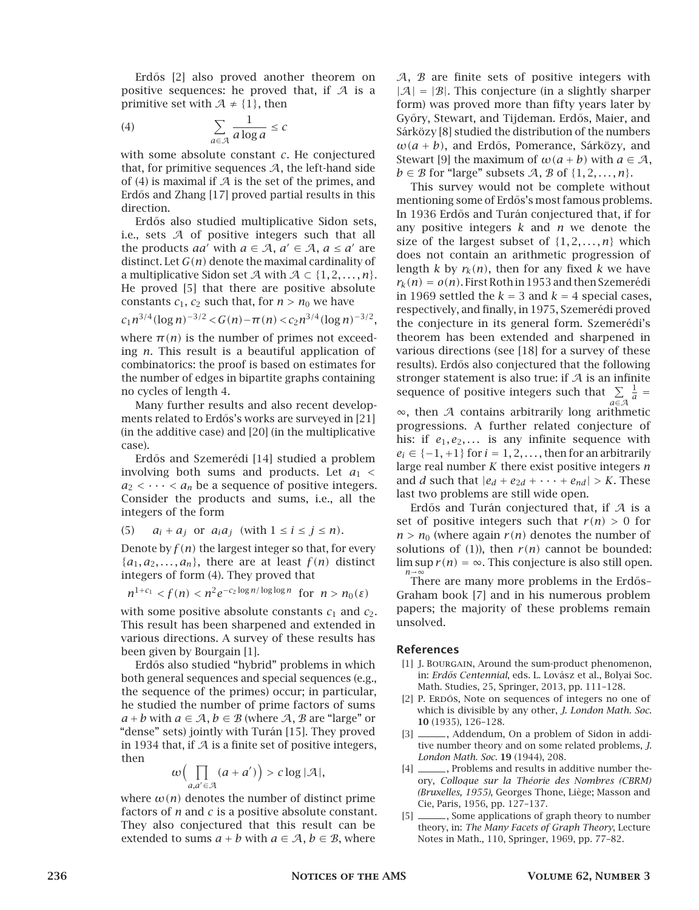Erdős [2] also proved another theorem on positive sequences: he proved that, if  $A$  is a primitive set with  $A \neq \{1\}$ , then

$$
\sum_{a \in \mathcal{A}} \frac{1}{a \log a} \le c
$$

with some absolute constant *c*. He conjectured that, for primitive sequences  $A$ , the left-hand side of (4) is maximal if  $A$  is the set of the primes, and Erdős and Zhang [17] proved partial results in this direction.

Erdős also studied multiplicative Sidon sets, i.e., sets A of positive integers such that all the products *aa'* with  $a \in A$ ,  $a' \in A$ ,  $a \le a'$  are distinct. Let *G(n)* denote the maximal cardinality of a multiplicative Sidon set A with  $A \subset \{1, 2, \ldots, n\}.$ He proved [5] that there are positive absolute constants  $c_1$ ,  $c_2$  such that, for  $n > n_0$  we have

$$
c_1 n^{3/4} (\log n)^{-3/2} < G(n) - \pi(n) < c_2 n^{3/4} (\log n)^{-3/2}
$$
,

where  $\pi(n)$  is the number of primes not exceeding *n*. This result is a beautiful application of combinatorics: the proof is based on estimates for the number of edges in bipartite graphs containing no cycles of length 4.

Many further results and also recent developments related to Erdős's works are surveyed in [21] (in the additive case) and [20] (in the multiplicative case).

Erdős and Szemerédi [14] studied a problem involving both sums and products. Let  $a_1$  <  $a_2 < \cdots < a_n$  be a sequence of positive integers. Consider the products and sums, i.e., all the integers of the form

(5) 
$$
a_i + a_j
$$
 or  $a_i a_j$  (with  $1 \le i \le j \le n$ ).

Denote by  $f(n)$  the largest integer so that, for every  ${a_1, a_2, \ldots, a_n}$ , there are at least  $f(n)$  distinct integers of form (4). They proved that

$$
n^{1+c_1} < f(n) < n^2 e^{-c_2 \log n / \log \log n} \quad \text{for} \quad n > n_0(\varepsilon)
$$

with some positive absolute constants  $c_1$  and  $c_2$ . This result has been sharpened and extended in various directions. A survey of these results has been given by Bourgain [1].

Erdős also studied "hybrid" problems in which both general sequences and special sequences (e.g., the sequence of the primes) occur; in particular, he studied the number of prime factors of sums  $a + b$  with  $a \in \mathcal{A}, b \in \mathcal{B}$  (where  $\mathcal{A}, \mathcal{B}$  are "large" or "dense" sets) jointly with Turán [15]. They proved in 1934 that, if  $\mathcal A$  is a finite set of positive integers, then

$$
\omega\Bigl(\prod_{a,a'\in\mathcal{A}}(a+a')\Bigr)>c\log|\mathcal{A}|,
$$

where  $\omega(n)$  denotes the number of distinct prime factors of *n* and *c* is a positive absolute constant. They also conjectured that this result can be extended to sums  $a + b$  with  $a \in \mathcal{A}, b \in \mathcal{B}$ , where

 $A$ ,  $B$  are finite sets of positive integers with  $|A| = |B|$ . This conjecture (in a slightly sharper form) was proved more than fifty years later by Győry, Stewart, and Tijdeman. Erdős, Maier, and Sárközy [8] studied the distribution of the numbers  $\omega(a + b)$ , and Erdős, Pomerance, Sárközy, and Stewart [9] the maximum of  $\omega(a + b)$  with  $a \in \mathcal{A}$ ,  $b \in \mathcal{B}$  for "large" subsets A, B of  $\{1, 2, \ldots, n\}$ .

This survey would not be complete without mentioning some of Erdős's most famous problems. In 1936 Erd˝os and Turán conjectured that, if for any positive integers *k* and *n* we denote the size of the largest subset of  $\{1, 2, \ldots, n\}$  which does not contain an arithmetic progression of length *k* by  $r_k(n)$ , then for any fixed *k* we have  $r_k(n) = o(n)$ . First Roth in 1953 and then Szemerédi in 1969 settled the  $k = 3$  and  $k = 4$  special cases, respectively, and finally, in 1975, Szemerédi proved the conjecture in its general form. Szemerédi's theorem has been extended and sharpened in various directions (see [18] for a survey of these results). Erdős also conjectured that the following stronger statement is also true: if  $A$  is an infinite sequence of positive integers such that  $\sum\limits_{a \in \mathcal{A}}$  $\frac{1}{a}$  = ∞, then A contains arbitrarily long arithmetic progressions. A further related conjecture of his: if  $e_1, e_2, \ldots$  is any infinite sequence with

 $e_i \in \{-1, +1\}$  for  $i = 1, 2, \ldots$ , then for an arbitrarily large real number *K* there exist positive integers *n* and *d* such that  $|e_d + e_{2d} + \cdots + e_{nd}| > K$ . These last two problems are still wide open.

Erdős and Turán conjectured that, if  $A$  is a set of positive integers such that  $r(n) > 0$  for  $n > n_0$  (where again  $r(n)$  denotes the number of solutions of (1)), then  $r(n)$  cannot be bounded:  $\limsup r(n) = \infty$ . This conjecture is also still open. *n*→∞

There are many more problems in the Erdős– Graham book [7] and in his numerous problem papers; the majority of these problems remain unsolved.

#### References

- [1] J. BOURGAIN, Around the sum-product phenomenon, in: *Erd˝os Centennial*, eds. L. Lovász et al., Bolyai Soc. Math. Studies, 25, Springer, 2013, pp. 111–128.
- [2] P. ERDŐS, Note on sequences of integers no one of which is divisible by any other, *J. London Math. Soc.* 10 (1935), 126–128.
- [3] \_\_\_\_\_\_, Addendum, On a problem of Sidon in additive number theory and on some related problems, *J. London Math. Soc.* 19 (1944), 208.
- [4] \_\_\_\_\_\_, Problems and results in additive number theory, *Colloque sur la Théorie des Nombres (CBRM) (Bruxelles, 1955)*, Georges Thone, Liège; Masson and Cie, Paris, 1956, pp. 127–137.
- [5] \_\_\_\_\_\_\_, Some applications of graph theory to number theory, in: *The Many Facets of Graph Theory*, Lecture Notes in Math., 110, Springer, 1969, pp. 77–82.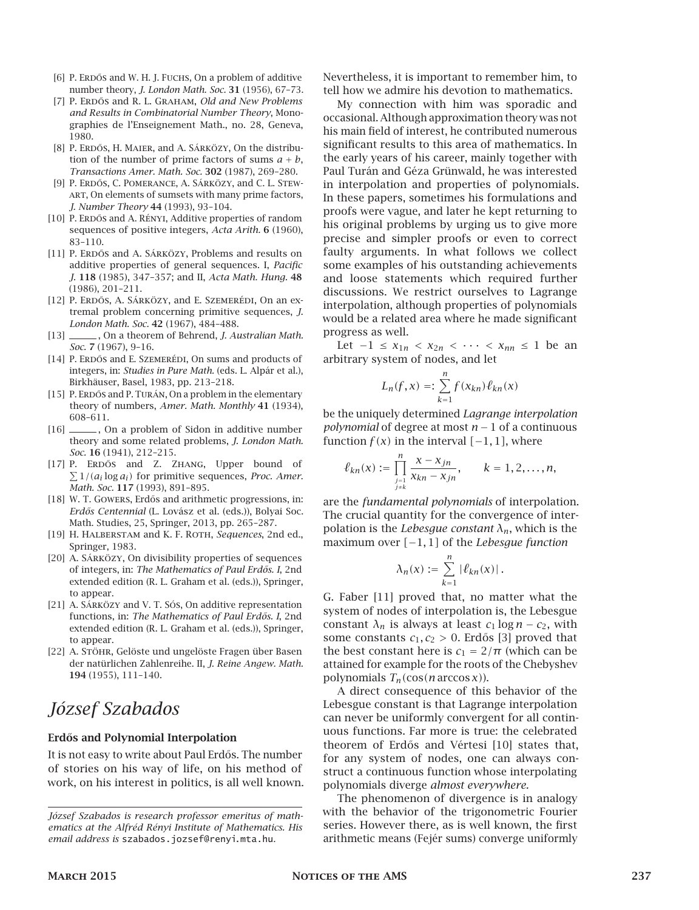- [6] P. ERDŐS and W. H. J. FUCHS, On a problem of additive number theory, *J. London Math. Soc.* 31 (1956), 67–73.
- [7] P. Erd˝os and R. L. Graham, *Old and New Problems and Results in Combinatorial Number Theory*, Monographies de l'Enseignement Math., no. 28, Geneva, 1980.
- [8] P. ERDŐS, H. MAIER, and A. SÁRKÖZY, On the distribution of the number of prime factors of sums  $a + b$ , *Transactions Amer. Math. Soc.* 302 (1987), 269–280.
- [9] P. ERDŐS, C. POMERANCE, A. SÁRKÖZY, and C. L. STEWart, On elements of sumsets with many prime factors, *J. Number Theory* 44 (1993), 93–104.
- [10] P. ERDŐS and A. RÉNYI, Additive properties of random sequences of positive integers, *Acta Arith.* 6 (1960), 83–110.
- [11] P. ERDŐS and A. SÁRKÖZY, Problems and results on additive properties of general sequences. I, *Pacific J.* 118 (1985), 347–357; and II, *Acta Math. Hung.* 48 (1986), 201–211.
- [12] P. ERDŐS, A. SÁRKÖZY, and E. SZEMERÉDI, On an extremal problem concerning primitive sequences, *J. London Math. Soc.* 42 (1967), 484–488.
- [13]  $\_\_\_\_\$ , On a theorem of Behrend, *J. Australian Math. Soc.* 7 (1967), 9–16.
- [14] P. ERDŐS and E. SZEMERÉDI, On sums and products of integers, in: *Studies in Pure Math.* (eds. L. Alpár et al.), Birkhäuser, Basel, 1983, pp. 213–218.
- [15] P. ERDŐS and P. TURÁN, On a problem in the elementary theory of numbers, *Amer. Math. Monthly* 41 (1934), 608–611.
- [16] \_\_\_\_\_\_, On a problem of Sidon in additive number theory and some related problems, *J. London Math. Soc.* 16 (1941), 212–215.
- [17] P. ERDŐS and Z. ZHANG, Upper bound of  $\sum 1/(a_i \log a_i)$  for primitive sequences, *Proc. Amer. Math. Soc.* 117 (1993), 891–895.
- [18] W. T. GOWERS, Erdős and arithmetic progressions, in: *Erd˝os Centennial* (L. Lovász et al. (eds.)), Bolyai Soc. Math. Studies, 25, Springer, 2013, pp. 265–287.
- [19] H. Halberstam and K. F. Roth, *Sequences*, 2nd ed., Springer, 1983.
- [20] A. Sárközy, On divisibility properties of sequences of integers, in: *The Mathematics of Paul Erdős. I*, 2nd extended edition (R. L. Graham et al. (eds.)), Springer, to appear.
- [21] A. Sárközy and V. T. Sós, On additive representation functions, in: The Mathematics of Paul Erdős. I, 2nd extended edition (R. L. Graham et al. (eds.)), Springer, to appear.
- [22] A. STÖHR, Gelöste und ungelöste Fragen über Basen der natürlichen Zahlenreihe. II, *J. Reine Angew. Math.* 194 (1955), 111–140.

# *József Szabados*

#### Erdős and Polynomial Interpolation

It is not easy to write about Paul Erdős. The number of stories on his way of life, on his method of work, on his interest in politics, is all well known. Nevertheless, it is important to remember him, to tell how we admire his devotion to mathematics.

My connection with him was sporadic and occasional. Although approximation theory was not his main field of interest, he contributed numerous significant results to this area of mathematics. In the early years of his career, mainly together with Paul Turán and Géza Grünwald, he was interested in interpolation and properties of polynomials. In these papers, sometimes his formulations and proofs were vague, and later he kept returning to his original problems by urging us to give more precise and simpler proofs or even to correct faulty arguments. In what follows we collect some examples of his outstanding achievements and loose statements which required further discussions. We restrict ourselves to Lagrange interpolation, although properties of polynomials would be a related area where he made significant progress as well.

Let  $-1 \le x_{1n} < x_{2n} < \cdots < x_{nn} \le 1$  be an arbitrary system of nodes, and let

$$
L_n(f, x) =: \sum_{k=1}^n f(x_{kn}) \ell_{kn}(x)
$$

be the uniquely determined *Lagrange interpolation polynomial* of degree at most *n* − 1 of a continuous function  $f(x)$  in the interval  $[-1, 1]$ , where

$$
\ell_{kn}(x) := \prod_{\substack{j=1 \ j \neq k}}^n \frac{x - x_{jn}}{x_{kn} - x_{jn}}, \qquad k = 1, 2, \ldots, n,
$$

are the *fundamental polynomials* of interpolation. The crucial quantity for the convergence of interpolation is the *Lebesgue constant λn*, which is the maximum over *[*−1*,* 1*]* of the *Lebesgue function*

$$
\lambda_n(x):=\sum_{k=1}^n|\ell_{kn}(x)|\,.
$$

G. Faber [11] proved that, no matter what the system of nodes of interpolation is, the Lebesgue constant  $\lambda_n$  is always at least  $c_1 \log n - c_2$ , with some constants  $c_1, c_2 > 0$ . Erdős [3] proved that the best constant here is  $c_1 = 2/\pi$  (which can be attained for example for the roots of the Chebyshev polynomials *Tn(*cos*(n* arccos *x)*).

A direct consequence of this behavior of the Lebesgue constant is that Lagrange interpolation can never be uniformly convergent for all continuous functions. Far more is true: the celebrated theorem of Erd˝os and Vértesi [10] states that, for any system of nodes, one can always construct a continuous function whose interpolating polynomials diverge *almost everywhere.*

The phenomenon of divergence is in analogy with the behavior of the trigonometric Fourier series. However there, as is well known, the first arithmetic means (Fejér sums) converge uniformly

*József Szabados is research professor emeritus of mathematics at the Alfréd Rényi Institute of Mathematics. His email address is* szabados.jozsef@renyi.mta.hu*.*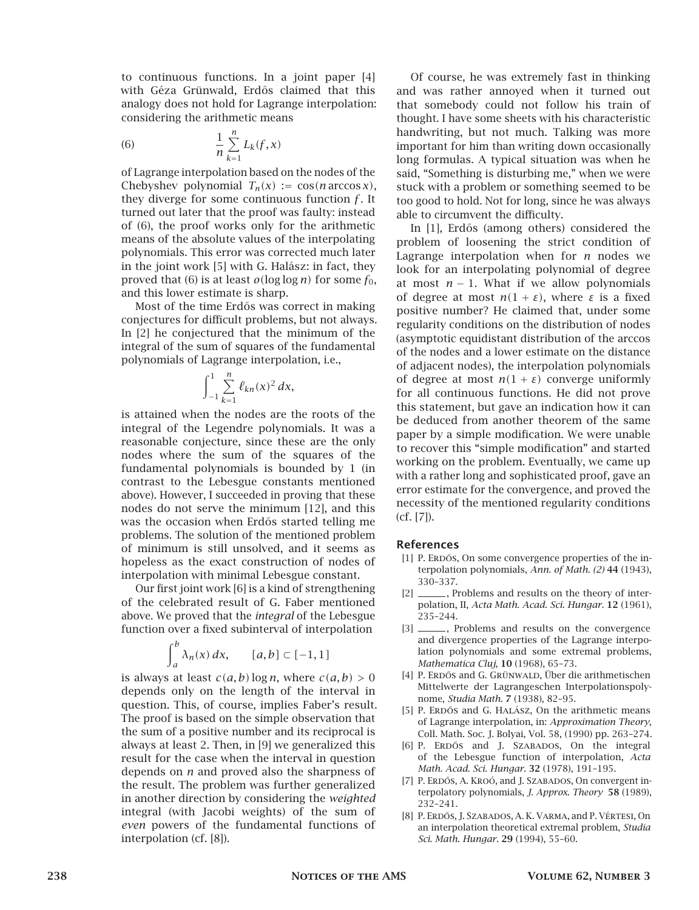to continuous functions. In a joint paper [4] with Géza Grünwald, Erdős claimed that this analogy does not hold for Lagrange interpolation: considering the arithmetic means

(6) 
$$
\frac{1}{n}\sum_{k=1}^{n}L_{k}(f,x)
$$

of Lagrange interpolation based on the nodes of the Chebyshev polynomial  $T_n(x) := \cos(n \arccos x)$ , they diverge for some continuous function *f* . It turned out later that the proof was faulty: instead of (6), the proof works only for the arithmetic means of the absolute values of the interpolating polynomials. This error was corrected much later in the joint work [5] with G. Halász: in fact, they proved that (6) is at least  $o(\log \log n)$  for some  $f_0$ , and this lower estimate is sharp.

Most of the time Erdős was correct in making conjectures for difficult problems, but not always. In [2] he conjectured that the minimum of the integral of the sum of squares of the fundamental polynomials of Lagrange interpolation, i.e.,

$$
\int_{-1}^1 \sum_{k=1}^n \ell_{kn}(x)^2 dx,
$$

is attained when the nodes are the roots of the integral of the Legendre polynomials. It was a reasonable conjecture, since these are the only nodes where the sum of the squares of the fundamental polynomials is bounded by 1 (in contrast to the Lebesgue constants mentioned above). However, I succeeded in proving that these nodes do not serve the minimum [12], and this was the occasion when Erdős started telling me problems. The solution of the mentioned problem of minimum is still unsolved, and it seems as hopeless as the exact construction of nodes of interpolation with minimal Lebesgue constant.

Our first joint work [6] is a kind of strengthening of the celebrated result of G. Faber mentioned above. We proved that the *integral* of the Lebesgue function over a fixed subinterval of interpolation

$$
\int_a^b \lambda_n(x) \, dx, \qquad [a, b] \subset [-1, 1]
$$

is always at least  $c(a, b)$  log *n*, where  $c(a, b) > 0$ depends only on the length of the interval in question. This, of course, implies Faber's result. The proof is based on the simple observation that the sum of a positive number and its reciprocal is always at least 2. Then, in [9] we generalized this result for the case when the interval in question depends on *n* and proved also the sharpness of the result. The problem was further generalized in another direction by considering the *weighted* integral (with Jacobi weights) of the sum of *even* powers of the fundamental functions of interpolation (cf. [8]).

Of course, he was extremely fast in thinking and was rather annoyed when it turned out that somebody could not follow his train of thought. I have some sheets with his characteristic handwriting, but not much. Talking was more important for him than writing down occasionally long formulas. A typical situation was when he said, "Something is disturbing me," when we were stuck with a problem or something seemed to be too good to hold. Not for long, since he was always able to circumvent the difficulty.

In [1], Erdős (among others) considered the problem of loosening the strict condition of Lagrange interpolation when for *n* nodes we look for an interpolating polynomial of degree at most  $n - 1$ . What if we allow polynomials of degree at most *n(*1 + *ε)*, where *ε* is a fixed positive number? He claimed that, under some regularity conditions on the distribution of nodes (asymptotic equidistant distribution of the arccos of the nodes and a lower estimate on the distance of adjacent nodes), the interpolation polynomials of degree at most  $n(1 + \varepsilon)$  converge uniformly for all continuous functions. He did not prove this statement, but gave an indication how it can be deduced from another theorem of the same paper by a simple modification. We were unable to recover this "simple modification" and started working on the problem. Eventually, we came up with a rather long and sophisticated proof, gave an error estimate for the convergence, and proved the necessity of the mentioned regularity conditions (cf. [7]).

#### References

- [1] P. ERDŐS, On some convergence properties of the interpolation polynomials, *Ann. of Math. (2)* 44 (1943), 330–337.
- [2] \_\_\_\_\_\_, Problems and results on the theory of interpolation, II, *Acta Math. Acad. Sci. Hungar.* 12 (1961), 235–244.
- [3] \_\_\_\_\_\_, Problems and results on the convergence and divergence properties of the Lagrange interpolation polynomials and some extremal problems, *Mathematica Cluj*, 10 (1968), 65–73.
- [4] P. ERDŐS and G. GRÜNWALD, Über die arithmetischen Mittelwerte der Lagrangeschen Interpolationspolynome, *Studia Math.* 7 (1938), 82–95.
- [5] P. ERDŐS and G. HALÁSZ, On the arithmetic means of Lagrange interpolation, in: *Approximation Theory*, Coll. Math. Soc. J. Bolyai, Vol. 58, (1990) pp. 263–274.
- [6] P. ERDŐS and J. SZABADOS, On the integral of the Lebesgue function of interpolation, *Acta Math. Acad. Sci. Hungar.* 32 (1978), 191–195.
- [7] P. ERDŐS, A. KROÓ, and J. SZABADOS, On convergent interpolatory polynomials, *J. Approx. Theory* 58 (1989), 232–241.
- [8] P. ERDŐS, J. SZABADOS, A. K. VARMA, and P. VÉRTESI, On an interpolation theoretical extremal problem, *Studia Sci. Math. Hungar.* 29 (1994), 55–60.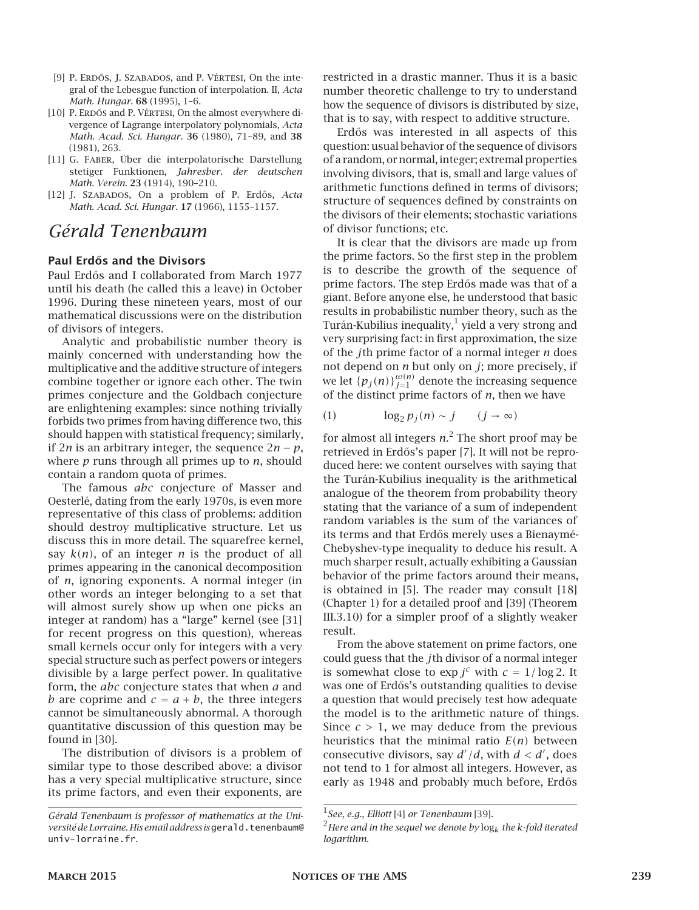- [9] P. ERDŐS, J. SZABADOS, and P. VÉRTESI, On the integral of the Lebesgue function of interpolation. II, *Acta Math. Hungar.* 68 (1995), 1–6.
- [10] P. ERDŐS and P. VÉRTESI, On the almost everywhere divergence of Lagrange interpolatory polynomials, *Acta Math. Acad. Sci. Hungar.* 36 (1980), 71–89, and 38 (1981), 263.
- [11] G. Faber, Über die interpolatorische Darstellung stetiger Funktionen, *Jahresber. der deutschen Math. Verein.* 23 (1914), 190–210.
- [12] J. SzABADOS, On a problem of P. Erdős, Acta *Math. Acad. Sci. Hungar.* 17 (1966), 1155–1157.

# *Gérald Tenenbaum*

#### Paul Erdős and the Divisors

Paul Erdős and I collaborated from March 1977 until his death (he called this a leave) in October 1996. During these nineteen years, most of our mathematical discussions were on the distribution of divisors of integers.

Analytic and probabilistic number theory is mainly concerned with understanding how the multiplicative and the additive structure of integers combine together or ignore each other. The twin primes conjecture and the Goldbach conjecture are enlightening examples: since nothing trivially forbids two primes from having difference two, this should happen with statistical frequency; similarly, if 2*n* is an arbitrary integer, the sequence 2*n* − *p*, where *p* runs through all primes up to *n*, should contain a random quota of primes.

The famous *abc* conjecture of Masser and Oesterlé, dating from the early 1970s, is even more representative of this class of problems: addition should destroy multiplicative structure. Let us discuss this in more detail. The squarefree kernel, say *k(n)*, of an integer *n* is the product of all primes appearing in the canonical decomposition of *n*, ignoring exponents. A normal integer (in other words an integer belonging to a set that will almost surely show up when one picks an integer at random) has a "large" kernel (see [31] for recent progress on this question), whereas small kernels occur only for integers with a very special structure such as perfect powers or integers divisible by a large perfect power. In qualitative form, the *abc* conjecture states that when *a* and *b* are coprime and  $c = a + b$ , the three integers cannot be simultaneously abnormal. A thorough quantitative discussion of this question may be found in [30].

The distribution of divisors is a problem of similar type to those described above: a divisor has a very special multiplicative structure, since its prime factors, and even their exponents, are

restricted in a drastic manner. Thus it is a basic number theoretic challenge to try to understand how the sequence of divisors is distributed by size, that is to say, with respect to additive structure.

Erdős was interested in all aspects of this question: usual behavior of the sequence of divisors of a random, or normal, integer; extremal properties involving divisors, that is, small and large values of arithmetic functions defined in terms of divisors; structure of sequences defined by constraints on the divisors of their elements; stochastic variations of divisor functions; etc.

It is clear that the divisors are made up from the prime factors. So the first step in the problem is to describe the growth of the sequence of prime factors. The step Erdős made was that of a giant. Before anyone else, he understood that basic results in probabilistic number theory, such as the Turán-Kubilius inequality, $^1$  yield a very strong and very surprising fact: in first approximation, the size of the *j*th prime factor of a normal integer *n* does not depend on *n* but only on *j*; more precisely, if we let  $\{p_j(n)\}_{j=1}^{\omega(n)}$  denote the increasing sequence of the distinct prime factors of *n*, then we have

$$
(1) \qquad \log_2 p_j(n) \sim j \qquad (j \to \infty)
$$

for almost all integers *n*. <sup>2</sup> The short proof may be retrieved in Erdős's paper [7]. It will not be reproduced here: we content ourselves with saying that the Turán-Kubilius inequality is the arithmetical analogue of the theorem from probability theory stating that the variance of a sum of independent random variables is the sum of the variances of its terms and that Erdős merely uses a Bienaymé-Chebyshev-type inequality to deduce his result. A much sharper result, actually exhibiting a Gaussian behavior of the prime factors around their means, is obtained in [5]. The reader may consult [18] (Chapter 1) for a detailed proof and [39] (Theorem III.3.10) for a simpler proof of a slightly weaker result.

From the above statement on prime factors, one could guess that the *j*th divisor of a normal integer is somewhat close to  $\exp j^c$  with  $c = 1/\log 2$ . It was one of Erdős's outstanding qualities to devise a question that would precisely test how adequate the model is to the arithmetic nature of things. Since  $c > 1$ , we may deduce from the previous heuristics that the minimal ratio  $E(n)$  between consecutive divisors, say  $d'/d$ , with  $d < d'$ , does not tend to 1 for almost all integers. However, as early as 1948 and probably much before, Erdős

*Gérald Tenenbaum is professor of mathematics at the Uni*versité de Lorraine. His email address is gerald.tenenbaum@ univ-lorraine.fr*.*

<sup>1</sup> *See, e.g., Elliott* [4] *or Tenenbaum* [39]*.*

<sup>2</sup>*Here and in the sequel we denote by* log*<sup>k</sup> the <sup>k</sup>-fold iterated logarithm.*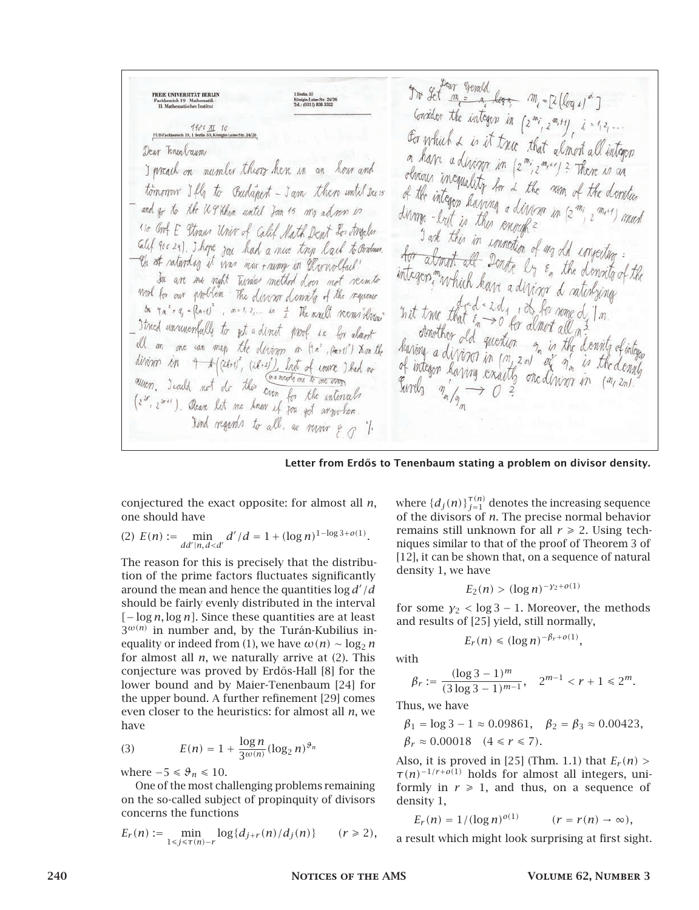To Let me = m log = m = [i (log s)"] FREIE UNIVERSITÄT BERLIN<br>Fachbereich 19 - Mathematik -<br>II. Mathematisches Institut Consider the integen in  $\{z^{m_i}, z^{m_i+j}\}$ ,  $i = i, 2, \ldots$ For which & is it true that almost all integen Dear Tencolaum on have a diving in  $(z^{m_i}, z^{m_{i+1}})$ ? There is an<br>obvious incomplete particle in the set of I preach on number theory here in an hour and olerious incapality for a the num of the denoties<br>of the integrality for a the num of the denoties tomorrow Ifly to Budapert - I am there until Dass of the integen having a divine in (2 min 2 min) must - and go to the U.S. then until Jon 15 mg advon in divinge-but is this enough? "10 Got E Straus Univer of Calif Math Dent Los Angeles I ark this in connection of any old importing:<br>I ark this in connection of any old importing: Glef 900 29). I hope you had a nuc try lack to Ornhum.<br>- Ch at raturday it was nuc + numer in Urrwolfach! for about all Donneation of my old impecting:<br>integers, mychick logical line of the demoity of the integen much have a diviner a rationity. In an me right Turdas method does not reemto work for our problem The director demails of the requester  $x$  it true that  $\epsilon_n \to 0$  for almost all  $\alpha$ ?  $m \cdot a' \cdot a' \cdot (2a+t)^2$ ,  $m \cdot 1 \cdot 2 \ldots$  is  $\pm$  He mult reems drives - I tried unrunemfully to get a direct proof is for clount stowther Id question on is the density of in all m me can map the divine in (in", (m+1)? Non the having a divisor in  $\begin{pmatrix} a_1 & a_2 & b_1 \end{pmatrix}$  the density divisors in  $A^{(2k+1)}$ ,  $(2k+2)$ , but of environmental no<br>auton. I wild not do this cannot are to one way of integer having exactly one divisor in Kind regards to all, as revoir  $\varepsilon_{0}$  1.

Letter from Erdős to Tenenbaum stating a problem on divisor density.

conjectured the exact opposite: for almost all *n*, one should have

(2) 
$$
E(n) := \min_{dd'|n, d
$$

The reason for this is precisely that the distribution of the prime factors fluctuates significantly around the mean and hence the quantities log *d* <sup>0</sup>*/d* should be fairly evenly distributed in the interval *[*− log *n,* log *n]*. Since these quantities are at least  $3^{\omega(n)}$  in number and, by the Turán-Kubilius inequality or indeed from (1), we have  $\omega(n) \sim \log_2 n$ for almost all *n*, we naturally arrive at (2). This conjecture was proved by Erdős-Hall [8] for the lower bound and by Maier-Tenenbaum [24] for the upper bound. A further refinement [29] comes even closer to the heuristics: for almost all *n*, we have

(3) 
$$
E(n) = 1 + \frac{\log n}{3^{\omega(n)}} (\log_2 n)^{\vartheta_n}
$$

where  $-5 \le \theta_n \le 10$ .

One of the most challenging problems remaining on the so-called subject of propinquity of divisors concerns the functions

$$
E_r(n) := \min_{1 \le j \le \tau(n)-r} \log\{d_{j+r}(n)/d_j(n)\} \qquad (r \ge 2),
$$

where  $\{d_j(n)\}_{j=1}^{\tau(n)}$  denotes the increasing sequence of the divisors of *n*. The precise normal behavior remains still unknown for all  $r \ge 2$ . Using techniques similar to that of the proof of Theorem 3 of [12], it can be shown that, on a sequence of natural density 1, we have

$$
E_2(n) > (\log n)^{-\gamma_2 + o(1)}
$$

for some  $\gamma_2$  < log 3 – 1. Moreover, the methods and results of [25] yield, still normally,

$$
E_r(n) \le (\log n)^{-\beta_r + o(1)},
$$

with

$$
\beta_r := \frac{(\log 3 - 1)^m}{(3\log 3 - 1)^{m-1}}, \quad 2^{m-1} < r + 1 \leq 2^m.
$$

Thus, we have

$$
\beta_1 = \log 3 - 1 \approx 0.09861
$$
,  $\beta_2 = \beta_3 \approx 0.00423$ ,  
\n $\beta_r \approx 0.00018$   $(4 \le r \le 7)$ .

Also, it is proved in [25] (Thm. 1.1) that  $E_r(n)$  > *τ(n)*−1*/r*+*o(*1*)* holds for almost all integers, uniformly in  $r \geq 1$ , and thus, on a sequence of density 1,

$$
E_r(n) = 1/(\log n)^{o(1)} \qquad (r = r(n) \to \infty),
$$

a result which might look surprising at first sight.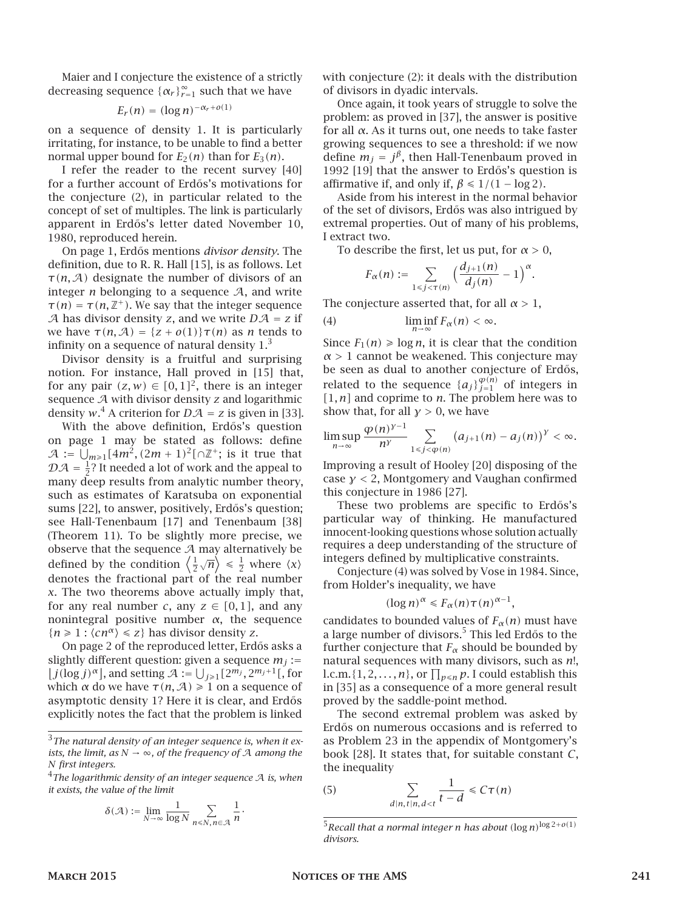Maier and I conjecture the existence of a strictly decreasing sequence  $\{\alpha_r\}_{r=1}^{\infty}$  such that we have

$$
E_r(n) = (\log n)^{-\alpha_r + o(1)}
$$

on a sequence of density 1. It is particularly irritating, for instance, to be unable to find a better normal upper bound for  $E_2(n)$  than for  $E_3(n)$ .

I refer the reader to the recent survey [40] for a further account of Erdős's motivations for the conjecture (2), in particular related to the concept of set of multiples. The link is particularly apparent in Erdős's letter dated November 10, 1980, reproduced herein.

On page 1, Erd˝os mentions *divisor density*. The definition, due to R. R. Hall [15], is as follows. Let *τ(n,*A*)* designate the number of divisors of an integer  $n$  belonging to a sequence  $A$ , and write  $\tau(n) = \tau(n, \mathbb{Z}^+)$ . We say that the integer sequence A has divisor density *z*, and we write  $D A = z$  if we have  $\tau(n, A) = \{z + o(1)\}\tau(n)$  as *n* tends to infinity on a sequence of natural density  $1<sup>3</sup>$ 

Divisor density is a fruitful and surprising notion. For instance, Hall proved in [15] that, for any pair  $(z, w) \in [0, 1]^2$ , there is an integer sequence A with divisor density *z* and logarithmic density  $w^4$ . A criterion for  $D\mathcal{A} = z$  is given in [33].

With the above definition, Erdős's question on page 1 may be stated as follows: define  $A := \bigcup_{m \geq 1} [4m^2, (2m + 1)^2] \cap \mathbb{Z}^+$ ; is it true that  $\mathcal{D} \mathcal{A} = \frac{1}{2}$ ? It needed a lot of work and the appeal to many deep results from analytic number theory, such as estimates of Karatsuba on exponential sums [22], to answer, positively, Erdős's question; see Hall-Tenenbaum [17] and Tenenbaum [38] (Theorem 11). To be slightly more precise, we observe that the sequence  $A$  may alternatively be defined by the condition  $\left\langle \frac{1}{2} \right\rangle$  $\langle \overline{n} \rangle \leq \frac{1}{2}$  where  $\langle x \rangle$ denotes the fractional part of the real number *x*. The two theorems above actually imply that, for any real number *c*, any  $z \in [0, 1]$ , and any nonintegral positive number *α*, the sequence  ${n \geq 1 : \langle cn^\alpha \rangle \leq z}$  has divisor density *z*.

On page 2 of the reproduced letter, Erdős asks a slightly different question: given a sequence  $m_j :=$  $\left[ \int f(\log f) \right]$ , and setting  $\mathcal{A} := \bigcup_{j \geq 1} [2^{m_j}, 2^{m_j+1}]$ , for which *α* do we have  $\tau(n, A) \ge 1$  on a sequence of asymptotic density 1? Here it is clear, and Erdős explicitly notes the fact that the problem is linked

<sup>4</sup>*The logarithmic density of an integer sequence* A *is, when it exists, the value of the limit*

$$
\delta({\mathcal A}):=\lim_{N\to\infty}\frac{1}{\log N}\sum_{n\leq N,\,n\in{\mathcal A}}\frac{1}{n}.
$$

with conjecture (2): it deals with the distribution of divisors in dyadic intervals.

Once again, it took years of struggle to solve the problem: as proved in [37], the answer is positive for all *α*. As it turns out, one needs to take faster growing sequences to see a threshold: if we now define  $m_j = j^{\beta}$ , then Hall-Tenenbaum proved in 1992 [19] that the answer to Erdős's question is affirmative if, and only if,  $\beta \leq 1/(1 - \log 2)$ .

Aside from his interest in the normal behavior of the set of divisors, Erdős was also intrigued by extremal properties. Out of many of his problems, I extract two.

To describe the first, let us put, for  $\alpha > 0$ ,

$$
F_{\alpha}(n) := \sum_{1 \leq j < \tau(n)} \Big( \frac{d_{j+1}(n)}{d_j(n)} - 1 \Big)^{\alpha}.
$$

The conjecture asserted that, for all *α >* 1,

(4) 
$$
\liminf_{n \to \infty} F_{\alpha}(n) < \infty.
$$

Since  $F_1(n) \geq \log n$ , it is clear that the condition *α >* 1 cannot be weakened. This conjecture may be seen as dual to another conjecture of Erdős, related to the sequence  $\{a_j\}_{j=1}^{\varphi(n)}$  of integers in *[*1*, n]* and coprime to *n*. The problem here was to show that, for all  $\gamma > 0$ , we have

$$
\limsup_{n\to\infty}\frac{\varphi(n)^{y-1}}{n^y}\sum_{1\leq j<\varphi(n)}\big(a_{j+1}(n)-a_j(n)\big)^y<\infty.
$$

Improving a result of Hooley [20] disposing of the case *γ <* 2, Montgomery and Vaughan confirmed this conjecture in 1986 [27].

These two problems are specific to Erdős's particular way of thinking. He manufactured innocent-looking questions whose solution actually requires a deep understanding of the structure of integers defined by multiplicative constraints.

Conjecture (4) was solved by Vose in 1984. Since, from Holder's inequality, we have

$$
(\log n)^{\alpha} \leq F_{\alpha}(n)\tau(n)^{\alpha-1},
$$

candidates to bounded values of  $F_\alpha(n)$  must have a large number of divisors.<sup>5</sup> This led Erdős to the further conjecture that  $F_\alpha$  should be bounded by natural sequences with many divisors, such as *n*!, l.c.m.  $\{1, 2, ..., n\}$ , or  $\prod_{p \leq n} p$ . I could establish this in [35] as a consequence of a more general result proved by the saddle-point method.

The second extremal problem was asked by Erdős on numerous occasions and is referred to as Problem 23 in the appendix of Montgomery's book [28]. It states that, for suitable constant *C*, the inequality

$$
\sum_{d|n, t|n, d < t} \frac{1}{t - d} \leq C\tau(n)
$$

 $(5)$ 

<sup>3</sup>*The natural density of an integer sequence is, when it exists, the limit, as*  $N \rightarrow \infty$ *, of the frequency of* A *among the N first integers.*

 $5$ Recall that a normal integer *n* has about  $(\log n)^{\log 2 + o(1)}$ *divisors.*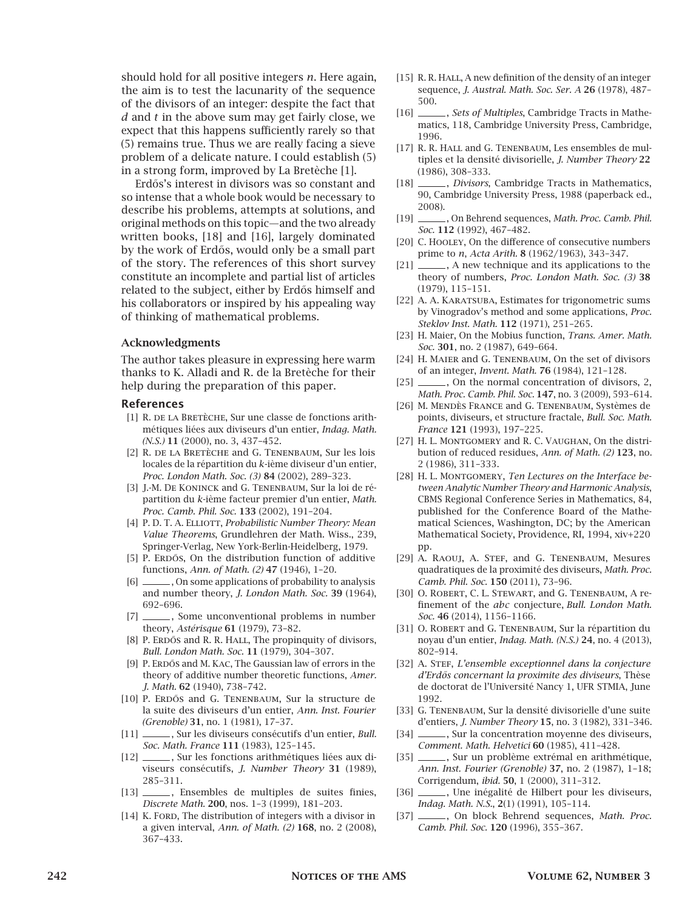should hold for all positive integers *n*. Here again, the aim is to test the lacunarity of the sequence of the divisors of an integer: despite the fact that *d* and *t* in the above sum may get fairly close, we expect that this happens sufficiently rarely so that (5) remains true. Thus we are really facing a sieve problem of a delicate nature. I could establish (5) in a strong form, improved by La Bretèche [1].

Erdős's interest in divisors was so constant and so intense that a whole book would be necessary to describe his problems, attempts at solutions, and original methods on this topic—and the two already written books, [18] and [16], largely dominated by the work of Erdős, would only be a small part of the story. The references of this short survey constitute an incomplete and partial list of articles related to the subject, either by Erdős himself and his collaborators or inspired by his appealing way of thinking of mathematical problems.

#### Acknowledgments

The author takes pleasure in expressing here warm thanks to K. Alladi and R. de la Bretèche for their help during the preparation of this paper.

#### References

- [1] R. DE LA BRETÈCHE, Sur une classe de fonctions arithmétiques liées aux diviseurs d'un entier, *Indag. Math. (N.S.)* 11 (2000), no. 3, 437–452.
- [2] R. de la Bretèche and G. Tenenbaum, Sur les lois locales de la répartition du *k*-ième diviseur d'un entier, *Proc. London Math. Soc. (3)* 84 (2002), 289–323.
- [3] J.-M. De Koninck and G. Tenenbaum, Sur la loi de répartition du *k*-ième facteur premier d'un entier, *Math. Proc. Camb. Phil. Soc.* 133 (2002), 191–204.
- [4] P.D.T. A. ELLIOTT, *Probabilistic Number Theory: Mean Value Theorems*, Grundlehren der Math. Wiss., 239, Springer-Verlag, New York-Berlin-Heidelberg, 1979.
- [5] P. ERDŐS, On the distribution function of additive functions, *Ann. of Math. (2)* 47 (1946), 1–20.
- [6] \_\_\_\_\_\_\_, On some applications of probability to analysis and number theory, *J. London Math. Soc.* 39 (1964), 692–696.
- [7] \_\_\_\_\_\_, Some unconventional problems in number theory, *Astérisque* 61 (1979), 73–82.
- [8] P. ERDŐS and R. R. HALL, The propinquity of divisors, *Bull. London Math. Soc.* 11 (1979), 304–307.
- [9] P. ERDŐS and M. KAC, The Gaussian law of errors in the theory of additive number theoretic functions, *Amer. J. Math.* 62 (1940), 738–742.
- [10] P. ERDŐS and G. TENENBAUM, Sur la structure de la suite des diviseurs d'un entier, *Ann. Inst. Fourier (Grenoble)* 31, no. 1 (1981), 17–37.
- [11] , Sur les diviseurs consécutifs d'un entier, *Bull. Soc. Math. France* 111 (1983), 125–145.
- [12] \_\_\_\_\_\_, Sur les fonctions arithmétiques liées aux diviseurs consécutifs, *J. Number Theory* 31 (1989), 285–311.
- [13] \_\_\_\_\_\_, Ensembles de multiples de suites finies, *Discrete Math.* 200, nos. 1–3 (1999), 181–203.
- [14] K. FORD, The distribution of integers with a divisor in a given interval, *Ann. of Math. (2)* 168, no. 2 (2008), 367–433.
- [15] R. R. HALL, A new definition of the density of an integer sequence, *J. Austral. Math. Soc. Ser. A* 26 (1978), 487– 500.
- [16] , *Sets of Multiples*, Cambridge Tracts in Mathematics, 118, Cambridge University Press, Cambridge, 1996.
- [17] R. R. HALL and G. TENENBAUM, Les ensembles de multiples et la densité divisorielle, *J. Number Theory* 22 (1986), 308–333.
- [18] , *Divisors*, Cambridge Tracts in Mathematics, 90, Cambridge University Press, 1988 (paperback ed., 2008).
- [19] , On Behrend sequences, *Math. Proc. Camb. Phil. Soc.* 112 (1992), 467–482.
- [20] C. Hooley, On the difference of consecutive numbers prime to *n*, *Acta Arith.* 8 (1962/1963), 343–347.
- [21] \_\_\_\_\_\_, A new technique and its applications to the theory of numbers, *Proc. London Math. Soc. (3)* 38 (1979), 115–151.
- [22] A. A. KARATSUBA, Estimates for trigonometric sums by Vinogradov's method and some applications, *Proc. Steklov Inst. Math.* 112 (1971), 251–265.
- [23] H. Maier, On the Mobius function, *Trans. Amer. Math. Soc.* 301, no. 2 (1987), 649–664.
- [24] H. MAIER and G. TENENBAUM, On the set of divisors of an integer, *Invent. Math.* 76 (1984), 121–128.
- [25] \_\_\_\_\_\_, On the normal concentration of divisors, 2, *Math. Proc. Camb. Phil. Soc.* 147, no. 3 (2009), 593–614.
- [26] M. Mendès France and G. Tenenbaum, Systèmes de points, diviseurs, et structure fractale, *Bull. Soc. Math. France* 121 (1993), 197–225.
- [27] H. L. Montgomery and R. C. Vaughan, On the distribution of reduced residues, *Ann. of Math. (2)* 123, no. 2 (1986), 311–333.
- [28] H. L. Montgomery, *Ten Lectures on the Interface between Analytic Number Theory and Harmonic Analysis*, CBMS Regional Conference Series in Mathematics, 84, published for the Conference Board of the Mathematical Sciences, Washington, DC; by the American Mathematical Society, Providence, RI, 1994, xiv+220 pp.
- [29] A. Raouj, A. Stef, and G. Tenenbaum, Mesures quadratiques de la proximité des diviseurs, *Math. Proc. Camb. Phil. Soc.* 150 (2011), 73–96.
- [30] O. ROBERT, C. L. STEWART, and G. TENENBAUM, A refinement of the *abc* conjecture, *Bull. London Math. Soc.* 46 (2014), 1156–1166.
- [31] O. ROBERT and G. TENENBAUM, Sur la répartition du noyau d'un entier, *Indag. Math. (N.S.)* 24, no. 4 (2013), 802–914.
- [32] A. STEF, *L'ensemble exceptionnel dans la conjecture d'Erd˝os concernant la proximite des diviseurs*, Thèse de doctorat de l'Université Nancy 1, UFR STMIA, June 1992.
- [33] G. TENENBAUM, Sur la densité divisorielle d'une suite d'entiers, *J. Number Theory* 15, no. 3 (1982), 331–346.
- [34] , Sur la concentration moyenne des diviseurs, *Comment. Math. Helvetici* 60 (1985), 411–428.
- [35] \_\_\_\_\_\_, Sur un problème extrémal en arithmétique, *Ann. Inst. Fourier (Grenoble)* 37, no. 2 (1987), 1–18; Corrigendum, *ibid.* 50, 1 (2000), 311–312.
- [36] \_\_\_\_\_, Une inégalité de Hilbert pour les diviseurs, *Indag. Math. N.S.*, 2(1) (1991), 105–114.
- [37] \_\_\_\_\_\_, On block Behrend sequences, *Math. Proc. Camb. Phil. Soc.* 120 (1996), 355–367.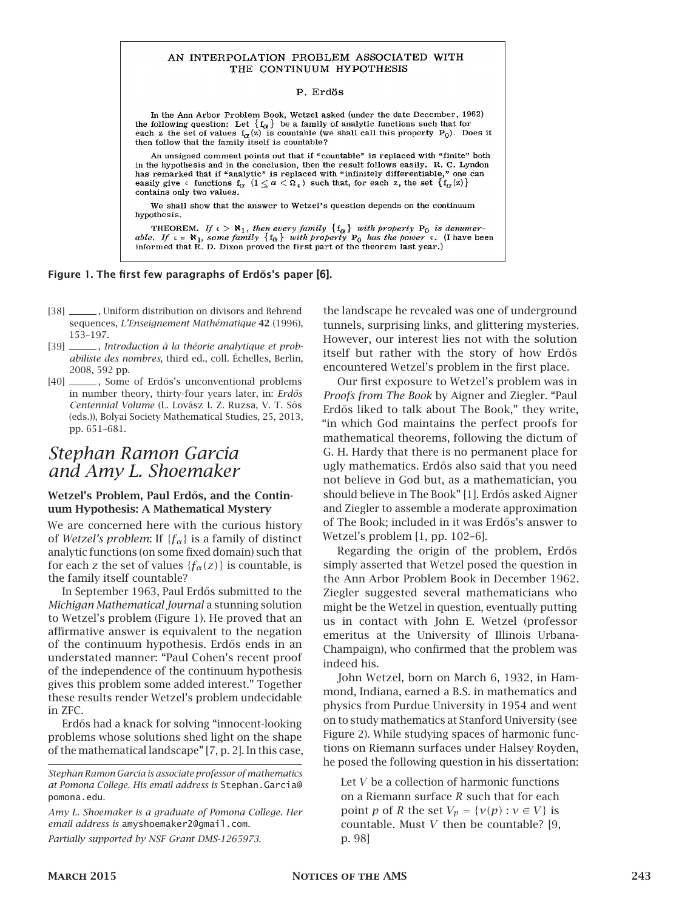#### AN INTERPOLATION PROBLEM ASSOCIATED WITH THE CONTINUUM HYPOTHESIS

#### P. Erdös

In the Ann Arbor Problem Book, Wetzel asked (under the date December, 1962) the following question: Let  $\{f_{\alpha}\}\$ be a family of analytic functions such that for each z the set of values  $f_{\alpha}(z)$  is countable (we shall call this property P<sub>0</sub>). Does it then follow that the family itself is countable?

An unsigned comment points out that if "countable" is replaced with "finite" both in the hypothesis and in the conclusion, then the result follows easily. R. C. Lyndon has remarked that if "analytic" is replaced with "infinitely differentiable," one can easily give  $\epsilon$  functions  $f_{\alpha}$   $(1 \leq \alpha < \Omega_{\epsilon})$  such that, for each z, the set  $\{f_{\alpha}(z)\}\$ contains only two values.

We shall show that the answer to Wetzel's question depends on the continuum hypothesis.

THEOREM. If  $c > \aleph_1$ , then every family  $\{f_{\alpha}\}$  with property  $P_0$  is denumerable. If  $c = \aleph_1$ , some family  $\{f_{\alpha}\}$  with property  $P_0$  has the power  $c$ . (I have been informed that R. D. Dixon proved the first p

#### Figure 1. The first few paragraphs of Erdős's paper [6].

- [38] , Uniform distribution on divisors and Behrend sequences, *L'Enseignement Mathématique* 42 (1996), 153–197.
- [39] , *Introduction à la théorie analytique et probabiliste des nombres*, third ed., coll. Échelles, Berlin, 2008, 592 pp.
- [40] , Some of Erdős's unconventional problems in number theory, thirty-four years later, in: *Erdős Centennial Volume* (L. Lovász I. Z. Ruzsa, V. T. Sós (eds.)), Bolyai Society Mathematical Studies, 25, 2013, pp. 651–681.

# *Stephan Ramon Garcia and Amy L. Shoemaker*

#### Wetzel's Problem, Paul Erdős, and the Continuum Hypothesis: A Mathematical Mystery

We are concerned here with the curious history of *Wetzel's problem*: If {*fα*} is a family of distinct analytic functions (on some fixed domain) such that for each *z* the set of values  ${f_\alpha(z)}$  is countable, is the family itself countable?

In September 1963, Paul Erdős submitted to the *Michigan Mathematical Journal* a stunning solution to Wetzel's problem (Figure 1). He proved that an affirmative answer is equivalent to the negation of the continuum hypothesis. Erdős ends in an understated manner: "Paul Cohen's recent proof of the independence of the continuum hypothesis gives this problem some added interest." Together these results render Wetzel's problem undecidable in ZFC.

Erd˝os had a knack for solving "innocent-looking problems whose solutions shed light on the shape of the mathematical landscape" [7, p. 2]. In this case,

*Partially supported by NSF Grant DMS-1265973.*

the landscape he revealed was one of underground tunnels, surprising links, and glittering mysteries. However, our interest lies not with the solution itself but rather with the story of how Erdős encountered Wetzel's problem in the first place.

Our first exposure to Wetzel's problem was in *Proofs from The Book* by Aigner and Ziegler. "Paul Erdős liked to talk about The Book," they write, "in which God maintains the perfect proofs for mathematical theorems, following the dictum of G. H. Hardy that there is no permanent place for ugly mathematics. Erdős also said that you need not believe in God but, as a mathematician, you should believe in The Book" [1]. Erdős asked Aigner and Ziegler to assemble a moderate approximation of The Book; included in it was Erdős's answer to Wetzel's problem [1, pp. 102–6].

Regarding the origin of the problem, Erdős simply asserted that Wetzel posed the question in the Ann Arbor Problem Book in December 1962. Ziegler suggested several mathematicians who might be the Wetzel in question, eventually putting us in contact with John E. Wetzel (professor emeritus at the University of Illinois Urbana-Champaign), who confirmed that the problem was indeed his.

John Wetzel, born on March 6, 1932, in Hammond, Indiana, earned a B.S. in mathematics and physics from Purdue University in 1954 and went on to study mathematics at Stanford University (see Figure 2). While studying spaces of harmonic functions on Riemann surfaces under Halsey Royden, he posed the following question in his dissertation:

Let *V* be a collection of harmonic functions on a Riemann surface *R* such that for each point *p* of *R* the set  $V_p = \{v(p) : v \in V\}$  is countable. Must *V* then be countable? [9, p. 98]

*Stephan Ramon Garcia is associate professor of mathematics at Pomona College. His email address is* Stephan.Garcia@ pomona.edu*.*

*Amy L. Shoemaker is a graduate of Pomona College. Her email address is* amyshoemaker2@gmail.com*.*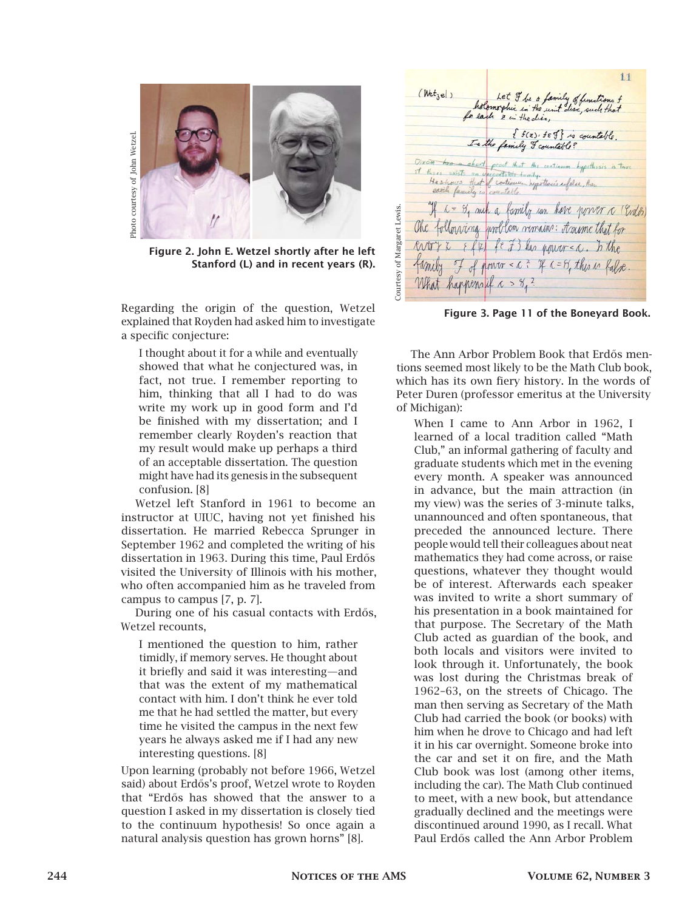

Figure 2. John E. Wetzel shortly after he left Stanford (L) and in recent years (R).

Regarding the origin of the question, Wetzel explained that Royden had asked him to investigate a specific conjecture:

I thought about it for a while and eventually showed that what he conjectured was, in fact, not true. I remember reporting to him, thinking that all I had to do was write my work up in good form and I'd be finished with my dissertation; and I remember clearly Royden's reaction that my result would make up perhaps a third of an acceptable dissertation. The question might have had its genesis in the subsequent confusion. [8]

Wetzel left Stanford in 1961 to become an instructor at UIUC, having not yet finished his dissertation. He married Rebecca Sprunger in September 1962 and completed the writing of his dissertation in 1963. During this time, Paul Erdős visited the University of Illinois with his mother, who often accompanied him as he traveled from campus to campus [7, p. 7].

During one of his casual contacts with Erdős, Wetzel recounts,

I mentioned the question to him, rather timidly, if memory serves. He thought about it briefly and said it was interesting—and that was the extent of my mathematical contact with him. I don't think he ever told me that he had settled the matter, but every time he visited the campus in the next few years he always asked me if I had any new interesting questions. [8]

Upon learning (probably not before 1966, Wetzel said) about Erdős's proof, Wetzel wrote to Royden that "Erd˝os has showed that the answer to a question I asked in my dissertation is closely tied to the continuum hypothesis! So once again a natural analysis question has grown horns" [8].

 $11$  $(Wet_{1e})$ Let I be a family of functions of<br>holomorphic in the unit disc, such that In the family of countable? Dixom has a short proof that the centinum hypethosis is true of these exists on operations that the continuum hypethy<br>If these exists on processive through the continuum people that if the continuum and the flow.<br>2012 Casside to continuum people defined and their each family is countable. If c = 84 auch a family can have power a (Edo) Courtesy of Margaret Lewis. Courtesy of Margaret Lewis. The following unoblem vemains: traine that for  $\{f(z)\}\neq\{f\}$  has now  $c < c$ . In the family I of power < a ? If a= 8, this is false. What happensil a > og ?

Figure 3. Page 11 of the Boneyard Book.

The Ann Arbor Problem Book that Erdős mentions seemed most likely to be the Math Club book, which has its own fiery history. In the words of Peter Duren (professor emeritus at the University of Michigan):

When I came to Ann Arbor in 1962, I learned of a local tradition called "Math Club," an informal gathering of faculty and graduate students which met in the evening every month. A speaker was announced in advance, but the main attraction (in my view) was the series of 3-minute talks, unannounced and often spontaneous, that preceded the announced lecture. There people would tell their colleagues about neat mathematics they had come across, or raise questions, whatever they thought would be of interest. Afterwards each speaker was invited to write a short summary of his presentation in a book maintained for that purpose. The Secretary of the Math Club acted as guardian of the book, and both locals and visitors were invited to look through it. Unfortunately, the book was lost during the Christmas break of 1962–63, on the streets of Chicago. The man then serving as Secretary of the Math Club had carried the book (or books) with him when he drove to Chicago and had left it in his car overnight. Someone broke into the car and set it on fire, and the Math Club book was lost (among other items, including the car). The Math Club continued to meet, with a new book, but attendance gradually declined and the meetings were discontinued around 1990, as I recall. What Paul Erd˝os called the Ann Arbor Problem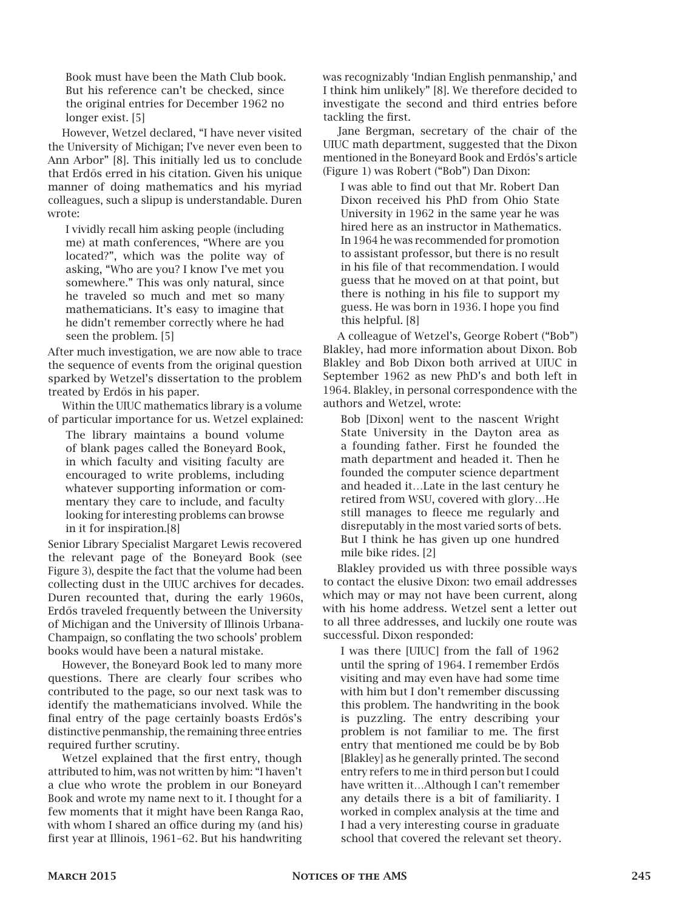Book must have been the Math Club book. But his reference can't be checked, since the original entries for December 1962 no longer exist. [5]

However, Wetzel declared, "I have never visited the University of Michigan; I've never even been to Ann Arbor" [8]. This initially led us to conclude that Erd˝os erred in his citation. Given his unique manner of doing mathematics and his myriad colleagues, such a slipup is understandable. Duren wrote:

I vividly recall him asking people (including me) at math conferences, "Where are you located?", which was the polite way of asking, "Who are you? I know I've met you somewhere." This was only natural, since he traveled so much and met so many mathematicians. It's easy to imagine that he didn't remember correctly where he had seen the problem. [5]

After much investigation, we are now able to trace the sequence of events from the original question sparked by Wetzel's dissertation to the problem treated by Erdős in his paper.

Within the UIUC mathematics library is a volume of particular importance for us. Wetzel explained:

The library maintains a bound volume of blank pages called the Boneyard Book, in which faculty and visiting faculty are encouraged to write problems, including whatever supporting information or commentary they care to include, and faculty looking for interesting problems can browse in it for inspiration.[8]

Senior Library Specialist Margaret Lewis recovered the relevant page of the Boneyard Book (see Figure 3), despite the fact that the volume had been collecting dust in the UIUC archives for decades. Duren recounted that, during the early 1960s, Erdős traveled frequently between the University of Michigan and the University of Illinois Urbana-Champaign, so conflating the two schools' problem books would have been a natural mistake.

However, the Boneyard Book led to many more questions. There are clearly four scribes who contributed to the page, so our next task was to identify the mathematicians involved. While the final entry of the page certainly boasts Erdős's distinctive penmanship, the remaining three entries required further scrutiny.

Wetzel explained that the first entry, though attributed to him, was not written by him: "I haven't a clue who wrote the problem in our Boneyard Book and wrote my name next to it. I thought for a few moments that it might have been Ranga Rao, with whom I shared an office during my (and his) first year at Illinois, 1961–62. But his handwriting

was recognizably 'Indian English penmanship,' and I think him unlikely" [8]. We therefore decided to investigate the second and third entries before tackling the first.

Jane Bergman, secretary of the chair of the UIUC math department, suggested that the Dixon mentioned in the Boneyard Book and Erdős's article (Figure 1) was Robert ("Bob") Dan Dixon:

I was able to find out that Mr. Robert Dan Dixon received his PhD from Ohio State University in 1962 in the same year he was hired here as an instructor in Mathematics. In 1964 he was recommended for promotion to assistant professor, but there is no result in his file of that recommendation. I would guess that he moved on at that point, but there is nothing in his file to support my guess. He was born in 1936. I hope you find this helpful. [8]

A colleague of Wetzel's, George Robert ("Bob") Blakley, had more information about Dixon. Bob Blakley and Bob Dixon both arrived at UIUC in September 1962 as new PhD's and both left in 1964. Blakley, in personal correspondence with the authors and Wetzel, wrote:

Bob [Dixon] went to the nascent Wright State University in the Dayton area as a founding father. First he founded the math department and headed it. Then he founded the computer science department and headed it…Late in the last century he retired from WSU, covered with glory…He still manages to fleece me regularly and disreputably in the most varied sorts of bets. But I think he has given up one hundred mile bike rides. [2]

Blakley provided us with three possible ways to contact the elusive Dixon: two email addresses which may or may not have been current, along with his home address. Wetzel sent a letter out to all three addresses, and luckily one route was successful. Dixon responded:

I was there [UIUC] from the fall of 1962 until the spring of 1964. I remember Erdős visiting and may even have had some time with him but I don't remember discussing this problem. The handwriting in the book is puzzling. The entry describing your problem is not familiar to me. The first entry that mentioned me could be by Bob [Blakley] as he generally printed. The second entry refers to me in third person but I could have written it…Although I can't remember any details there is a bit of familiarity. I worked in complex analysis at the time and I had a very interesting course in graduate school that covered the relevant set theory.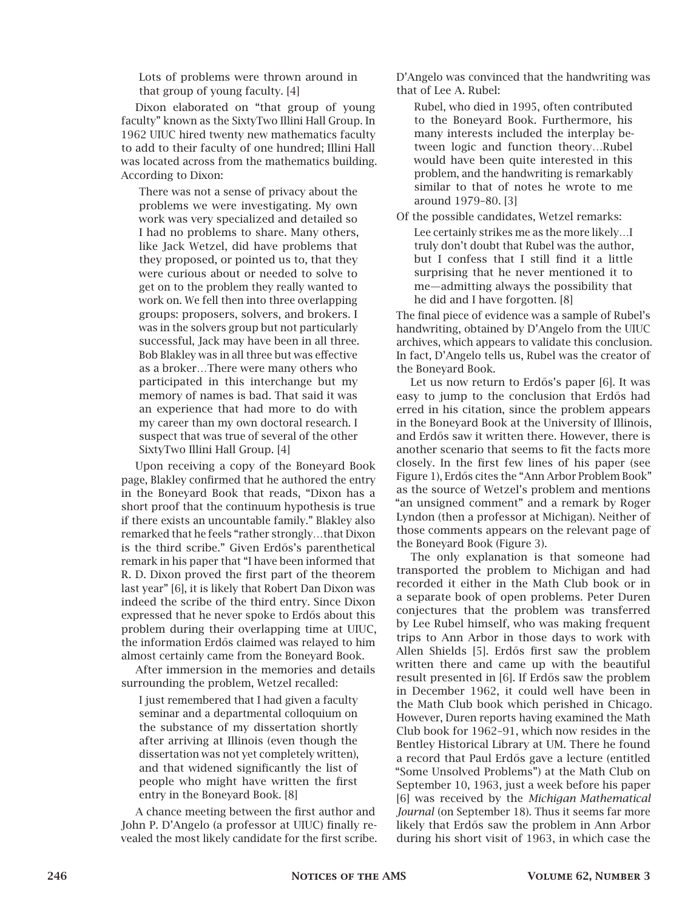Lots of problems were thrown around in that group of young faculty. [4]

Dixon elaborated on "that group of young faculty" known as the SixtyTwo Illini Hall Group. In 1962 UIUC hired twenty new mathematics faculty to add to their faculty of one hundred; Illini Hall was located across from the mathematics building. According to Dixon:

There was not a sense of privacy about the problems we were investigating. My own work was very specialized and detailed so I had no problems to share. Many others, like Jack Wetzel, did have problems that they proposed, or pointed us to, that they were curious about or needed to solve to get on to the problem they really wanted to work on. We fell then into three overlapping groups: proposers, solvers, and brokers. I was in the solvers group but not particularly successful, Jack may have been in all three. Bob Blakley was in all three but was effective as a broker…There were many others who participated in this interchange but my memory of names is bad. That said it was an experience that had more to do with my career than my own doctoral research. I suspect that was true of several of the other SixtyTwo Illini Hall Group. [4]

Upon receiving a copy of the Boneyard Book page, Blakley confirmed that he authored the entry in the Boneyard Book that reads, "Dixon has a short proof that the continuum hypothesis is true if there exists an uncountable family." Blakley also remarked that he feels "rather strongly…that Dixon is the third scribe." Given Erdős's parenthetical remark in his paper that "I have been informed that R. D. Dixon proved the first part of the theorem last year" [6], it is likely that Robert Dan Dixon was indeed the scribe of the third entry. Since Dixon expressed that he never spoke to Erdős about this problem during their overlapping time at UIUC, the information Erdős claimed was relayed to him almost certainly came from the Boneyard Book.

After immersion in the memories and details surrounding the problem, Wetzel recalled:

I just remembered that I had given a faculty seminar and a departmental colloquium on the substance of my dissertation shortly after arriving at Illinois (even though the dissertation was not yet completely written), and that widened significantly the list of people who might have written the first entry in the Boneyard Book. [8]

A chance meeting between the first author and John P. D'Angelo (a professor at UIUC) finally revealed the most likely candidate for the first scribe. D'Angelo was convinced that the handwriting was that of Lee A. Rubel:

Rubel, who died in 1995, often contributed to the Boneyard Book. Furthermore, his many interests included the interplay between logic and function theory…Rubel would have been quite interested in this problem, and the handwriting is remarkably similar to that of notes he wrote to me around 1979–80. [3]

Of the possible candidates, Wetzel remarks: Lee certainly strikes me as the more likely…I truly don't doubt that Rubel was the author, but I confess that I still find it a little surprising that he never mentioned it to me—admitting always the possibility that he did and I have forgotten. [8]

The final piece of evidence was a sample of Rubel's handwriting, obtained by D'Angelo from the UIUC archives, which appears to validate this conclusion. In fact, D'Angelo tells us, Rubel was the creator of the Boneyard Book.

Let us now return to Erdős's paper [6]. It was easy to jump to the conclusion that Erdős had erred in his citation, since the problem appears in the Boneyard Book at the University of Illinois, and Erd˝os saw it written there. However, there is another scenario that seems to fit the facts more closely. In the first few lines of his paper (see Figure 1), Erdős cites the "Ann Arbor Problem Book" as the source of Wetzel's problem and mentions "an unsigned comment" and a remark by Roger Lyndon (then a professor at Michigan). Neither of those comments appears on the relevant page of the Boneyard Book (Figure 3).

The only explanation is that someone had transported the problem to Michigan and had recorded it either in the Math Club book or in a separate book of open problems. Peter Duren conjectures that the problem was transferred by Lee Rubel himself, who was making frequent trips to Ann Arbor in those days to work with Allen Shields [5]. Erdős first saw the problem written there and came up with the beautiful result presented in [6]. If Erdős saw the problem in December 1962, it could well have been in the Math Club book which perished in Chicago. However, Duren reports having examined the Math Club book for 1962–91, which now resides in the Bentley Historical Library at UM. There he found a record that Paul Erdős gave a lecture (entitled "Some Unsolved Problems") at the Math Club on September 10, 1963, just a week before his paper [6] was received by the *Michigan Mathematical Journal* (on September 18). Thus it seems far more likely that Erdős saw the problem in Ann Arbor during his short visit of 1963, in which case the